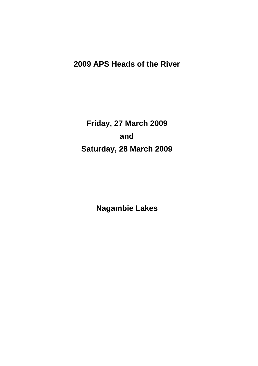# **2009 APS Heads of the River**

**Friday, 27 March 2009 and Saturday, 28 March 2009**

**Nagambie Lakes**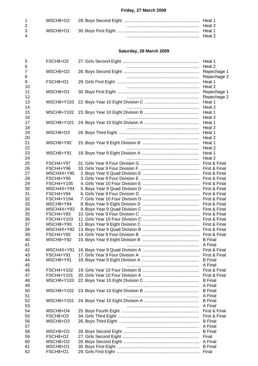# **Friday, 27 March 2009**

| $1 \quad$   |  |        |
|-------------|--|--------|
|             |  | Heat 2 |
| $3^{\circ}$ |  |        |
| Δ           |  | Heat 2 |

# **Saturday, 28 March 2009**

| 5                   | FSCH8+O2                | Heat 1                         |
|---------------------|-------------------------|--------------------------------|
| 6<br>$\overline{7}$ | MSCH8+O2                | Heat 2<br>Repechage 1          |
| 8                   |                         | Repechage 2                    |
| 9                   | FSCH8+O1                | Heat 1                         |
| 10                  |                         | Heat 2                         |
| 11                  | MSCH8+O1                | Repechage 1                    |
| 12<br>13            | MSCH8+Y103              | Repechage 2                    |
| 14                  |                         |                                |
| 15                  | MSCH8+Y102              | Heat 1                         |
| 16                  |                         |                                |
| 17                  | MSCH8+Y101              |                                |
| 18<br>19            | MSCH8+O3                | Heat 2                         |
| 20                  |                         | Heat 2                         |
| 21                  | MSCH8+Y92               | Heat 1                         |
| 22                  |                         | Heat 2                         |
| 23                  | MSCH8+Y91               | Heat 1                         |
| 24                  |                         | Heat 2                         |
| 25<br>26            | FSCH4+Y97<br>FSCH4+Y96  | First & Final<br>First & Final |
| 27                  | MSCH4X+Y95              |                                |
| 28                  | <b>FSCH4+Y95</b>        |                                |
| 29                  | FSCH4+Y105              |                                |
| 30                  | MSCH4X+Y94              |                                |
| 31                  | FSCH4+Y94               |                                |
| 32                  | FSCH4+Y104              |                                |
| 33<br>34            | MSCH8+Y94<br>MSCH4X+Y93 |                                |
| 35                  | FSCH4+Y93               |                                |
| 36                  | FSCH4+Y103              |                                |
| 37                  | MSCH8+Y93               |                                |
| 38                  | MSCH4X+Y92              |                                |
| 39                  | <b>FSCH4+Y92</b>        |                                |
| 40                  | MSCH8+Y92               |                                |
| 41<br>42            | MSCH4X+Y91              |                                |
| 43                  | FSCH4+Y91               |                                |
| 44                  | MSCH8+Y91               | <b>B</b> Final                 |
| 45                  |                         |                                |
| 46                  | FSCH4+Y102              |                                |
| 47                  | FSCH4+Y101              |                                |
| 48                  | MSCH8+Y103              | <b>B</b> Final                 |
| 49<br>50            | MSCH8+Y102              | A Final<br><b>B</b> Final      |
| 51                  |                         | A Final                        |
| 52                  | MSCH8+Y101              | <b>B</b> Final                 |
| 53                  |                         | A Final                        |
| 54                  | MSCH8+O4                |                                |
| 55                  | FSCH8+O3                |                                |
| 56                  | MSCH8+O3                |                                |
| 57<br>58            | MSCH8+O2                |                                |
| 59                  | FSCH8+O2                |                                |
| 60                  | MSCH8+O2                |                                |
| 61                  | MSCH8+O1                |                                |
| 62                  | FSCH8+O1                |                                |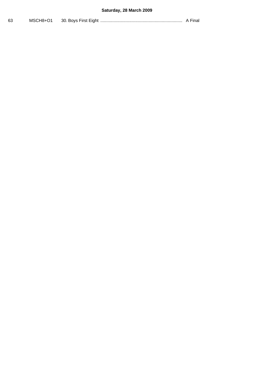# **Saturday, 28 March 2009**

| ົ<br>63 | MSCH8+O1 | 30. Bovs First Eight |  |
|---------|----------|----------------------|--|
|---------|----------|----------------------|--|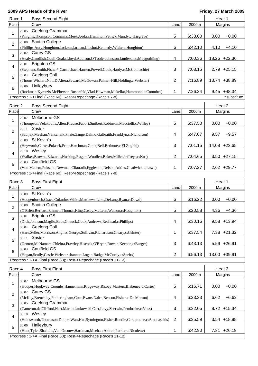### **2009 APS Heads of the River Friday, 27 March 2009**

| Race 1                                                     | <b>Boys Second Eight</b>                                                                                                                                                 |                |         | Heat 1          |  |  |
|------------------------------------------------------------|--------------------------------------------------------------------------------------------------------------------------------------------------------------------------|----------------|---------|-----------------|--|--|
| Place                                                      | Crew                                                                                                                                                                     | Lane           | 2000m   | Margins         |  |  |
| 1                                                          | Geelong Grammar<br>28.05<br>(Knights, Thompson, Commins, Meek, Jordan, Hamilton, Patrick, Mundy, c: Hargrave)                                                            | 5              | 6:38.00 | 0.00<br>$+0.00$ |  |  |
| $\overline{2}$                                             | 28.08 Scotch College<br>(Phillips, Auty, Houghton, Jackson, Jarman, Lipshut, Kennedy, White, c: Houghton)                                                                | 6              | 6:42.10 | 4.10<br>$+4.10$ |  |  |
| 3                                                          | Carey GS<br>28.02<br>(Healy,Candlish,Coull,Guala,Lloyd,Addison,O'Toole-Johnston,Jamieson,c:Maygothling)                                                                  | 4              | 7:00.36 | 18.26 +22.36    |  |  |
| 4                                                          | 28.01 Brighton GS<br>(Stephens, Smith, Fisher*, Carmichael, Hansen, Powell, Cook, Hardy, c: McConnachie)                                                                 | 3              | 7:03.15 | $2.79 + 25.15$  |  |  |
| 5                                                          | 28.04 Geelong Coll.<br>(Thoms, Wishart, Nott, D'Altera, Seward, McGowan, Palmer-Hill, Holding, c: Webster)                                                               | 2              | 7:16.89 | 13.74 +38.89    |  |  |
| 6                                                          | 28.06 Haileybury<br>(Rockman, Kyratzis, McPherson, Rosenfeld, Vlad, Howman, Mckellar, Hammond, c: Coombes)                                                               | 1              | 7:26.34 | $9.45 + 48.34$  |  |  |
|                                                            | Progress: 1->Final (Race 60); Rest->Repechage (Race's 7-8)                                                                                                               |                |         | *substitute     |  |  |
| Race 2                                                     | <b>Boys Second Eight</b>                                                                                                                                                 |                |         | Heat 2          |  |  |
| Place                                                      | Crew                                                                                                                                                                     | Lane           | 2000m   | Margins         |  |  |
|                                                            | Melbourne GS<br>28.07                                                                                                                                                    |                |         |                 |  |  |
| 1                                                          | (Thompson, Velakoulis, Allen, Krause, Fabbri, Smibert, Robinson, Macciolli, c: Willey)<br>28.11 Xavier                                                                   | 5              | 6:37.50 | $+0.00$<br>0.00 |  |  |
| 2                                                          | (Sabljak, Meehan, Vanschaik, Pirrie, Gange, Delmo, Galbraith, Franklyn, c: Nicholson)<br>28.09 St Kevin's                                                                | 4              | 6:47.07 | 9.57<br>$+9.57$ |  |  |
| 3                                                          | (Heyworth, Carter, Polasek, Prior, Hatchman, Gook, Bell, Bethune, c: El Zoghbi)                                                                                          | 3              | 7:01.15 | 14.08 +23.65    |  |  |
| $\overline{4}$                                             | 28.10 Wesley<br>(Walker, Browne, Edwards, Hosking, Rogers Woollett, Baker, Miller, Jeffreys, c: Kus)<br><b>Caulfield GS</b>                                              | 2              | 7:04.65 | $3.50 +27.15$   |  |  |
| 5                                                          | 28.03<br>7:07.27<br>(Von Medem, Puksand, Newman, Cikoratik, Eggleston, Nelson, Atkins, Chadwick, c: Lowe)<br>1                                                           |                |         | $2.62 + 29.77$  |  |  |
| Progress: 1->Final (Race 60); Rest->Repechage (Race's 7-8) |                                                                                                                                                                          |                |         |                 |  |  |
|                                                            |                                                                                                                                                                          |                |         |                 |  |  |
| Race 3                                                     | <b>Boys First Eight</b>                                                                                                                                                  |                |         | Heat 1          |  |  |
| Place                                                      | Crew                                                                                                                                                                     | Lane           | 2000m   | Margins         |  |  |
| 1                                                          | St Kevin's<br>30.09<br>(Hoogenbosch, Grace, Cukurins, White, Matthews, Lake, DeLang, Ryan, c: Dowd)                                                                      | 6              | 6:16.22 | 0.00<br>$+0.00$ |  |  |
| 2                                                          | 30.08 Scotch College                                                                                                                                                     | 5              |         |                 |  |  |
| 3                                                          | (O'Brien, Bernard, Emmett, Thomas, King, Casey, McLean, Watson, c: Houghton)<br>30.01 Brighton GS                                                                        |                | 6:20.58 | $4.36 + 4.36$   |  |  |
| $\overline{4}$                                             | (Dick,Johnson,Maglio,Bade,Gnauck,Cook,Andrews,Redhead,c:Phillips)<br>Geelong Coll.<br>30.04                                                                              | 4              | 6:30.16 | $9.58 + 13.94$  |  |  |
| 5                                                          | (Hare, Seller, Morrison, Angliss, George, Sullivan, Richardson, Cleary, c: Grinter)<br>30.11 Xavier                                                                      | 1              | 6:37.54 | $7.38 + 21.32$  |  |  |
| 6                                                          | (Denton, McNamara, Chlebra, Frawley, Hiscock, O'Bryan, Rowan, Keenan, c: Burger)<br>30.03 Caulfield GS                                                                   | 3              | 6:43.13 | 5.59 +26.91     |  |  |
|                                                            | (Hogan, Scully, Castle, Webster, shannon, Logan, Badge, McCurdy, c: Speirs)                                                                                              | $\overline{2}$ | 6:56.13 | 13.00 +39.91    |  |  |
|                                                            | Progress: 1->A Final (Race 63); Rest->Repechage (Race's 11-12)                                                                                                           |                |         |                 |  |  |
| Race 4                                                     | <b>Boys First Eight</b>                                                                                                                                                  |                |         | Heat 2          |  |  |
| Place                                                      | Crew                                                                                                                                                                     | Lane           | 2000m   | Margins         |  |  |
| 1                                                          | Melbourne GS<br>30.07<br>(Hooper, Hookway, Coombs, Hannemann, Ridgeway, Risbey, Masters, Blakeney, c: Carter)                                                            | 5              | 6:16.71 | 0.00<br>$+0.00$ |  |  |
| $\overline{2}$                                             | 30.02 Carey GS<br>(McKay, Brenchley, Fotheringham, Coco, Evans, Nairn, Benson, Fisher, c: De Morton)                                                                     | 4              | 6:23.33 | $+6.62$<br>6.62 |  |  |
| $\mathbf{3}$                                               | 30.05 Geelong Grammar<br>(Cameron, de Clifford, Hart, Martin-Jankowski, Carr, Levy, Sherwin, Pembroke, c: Voss)                                                          | 3              | 6:32.05 | 8.72 +15.34     |  |  |
| 4                                                          | 30.10 Wesley<br>(Holdsworth,Thompson,Doupe-Watt,Kus,Symington,Fisher,Rundle,Cardamone,c:Athanasakis)                                                                     | 2              | 6:35.59 | $3.54$ +18.88   |  |  |
| 5                                                          | 30.06 Haileybury<br>(Hunt, Tyler, Shakalis, Van Orsouw, Hardman, Meehan, Aldred, Parker, c: Nicolette)<br>Progress: 1->A Final (Race 63); Rest->Repechage (Race's 11-12) | 1              | 6:42.90 | $7.31 +26.19$   |  |  |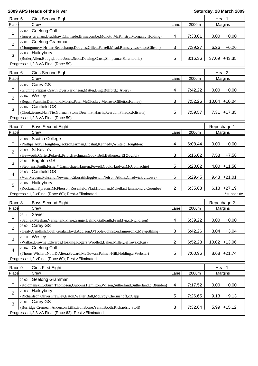| Race 5          |       | Girls Second Eight                                                                                                         |                |         | Heat 1      |                |
|-----------------|-------|----------------------------------------------------------------------------------------------------------------------------|----------------|---------|-------------|----------------|
| Place           |       | Crew                                                                                                                       | Lane           | 2000m   |             | Margins        |
| 1               | 27.02 | Geelong Coll.                                                                                                              |                |         |             |                |
|                 |       | (Inness, Graham, Bradshaw, Chirnside, Brimacombe, Monotti, McKinstry, Morgan, c: Holding)                                  | 4              | 7:33.01 | 0.00        | $+0.00$        |
| $\overline{2}$  | 27.01 | Geelong Grammar                                                                                                            |                |         |             |                |
|                 |       | (Montgomery-Hribar, Beauchamp, Douglas, Gillett, Farrell, Mead, Ramsay, Lockie, c: Gibson)                                 | 3              | 7:39.27 | 6.26        | $+6.26$        |
| 3               | 27.03 | Haileybury                                                                                                                 |                |         |             |                |
|                 |       | (Butler, Allen, Budge, Louis-Jones, Scott, Dewing, Cruse, Simpson, c: Sarantoulia)                                         | 5              | 8:16.36 |             | 37.09 +43.35   |
|                 |       | Progress: 1,2,3->A Final (Race 59)                                                                                         |                |         |             |                |
| Race 6          |       | Girls Second Eight                                                                                                         |                |         |             | Heat 2         |
| Place           |       | Crew                                                                                                                       | Lane           | 2000m   |             | Margins        |
| 1               |       | 27.05 Carey GS                                                                                                             |                |         |             |                |
|                 |       | (Gluning, Pappas, Oswin, Dyer, Parkinson, Mattei, Bing, Bulford, c: Avery)                                                 | 4              | 7:42.22 | 0.00        | $+0.00$        |
| $\overline{2}$  |       | 27.04 Wesley                                                                                                               |                |         |             |                |
|                 |       | (Regan, Franklin, Diamond, Morris, Patel, McCloskey, Melrose, Gillett, c: Kainey)                                          | 3              | 7:52.26 |             | 10.04 +10.04   |
| 3               |       | 27.06 Caulfield GS                                                                                                         |                |         |             |                |
|                 |       | (Chodziesner, Nan Tie, Gorman, Stone, Dewhirst, Harris, Reardon, Pineo, c: Klisaris)<br>Progress: 1,2,3->A Final (Race 59) | 5              | 7:59.57 |             | $7.31 + 17.35$ |
|                 |       |                                                                                                                            |                |         |             |                |
| Race 7          |       | <b>Boys Second Eight</b>                                                                                                   |                |         | Repechage 1 |                |
| Place           |       | Crew                                                                                                                       | Lane           | 2000m   |             | Margins        |
| 1               | 28.08 | <b>Scotch College</b>                                                                                                      |                |         |             |                |
|                 |       | (Phillips, Auty, Houghton, Jackson, Jarman, Lipshut, Kennedy, White, c: Houghton)                                          | 4              | 6:08.44 | 0.00        | $+0.00$        |
| 2               |       | 28.09 St Kevin's                                                                                                           |                |         |             |                |
|                 |       | (Heyworth, Carter, Polasek, Prior, Hatchman, Gook, Bell, Bethune, c: El Zoghbi)                                            | 3              | 6:16.02 | 7.58        | $+7.58$        |
| 3               | 28.01 | <b>Brighton GS</b>                                                                                                         |                |         |             |                |
|                 |       | (Stephens, Smith, Fisher*, Carmichael, Hansen, Powell, Cook, Hardy, c: McConnachie)<br>28.03 Caulfield GS                  | 5              | 6:20.02 |             | 4.00 +11.58    |
| 4               |       | (Von Medem,Puksand,Newman,Cikoratik,Eggleston,Nelson,Atkins,Chadwick,c:Lowe)                                               | 6              | 6:29.45 |             | $9.43 +21.01$  |
|                 | 28.06 | Haileybury                                                                                                                 |                |         |             |                |
| 5               |       | (Rockman, Kyratzis, McPherson, Rosenfeld, Vlad, Howman, Mckellar, Hammond, c: Coombes)                                     | $\overline{2}$ | 6:35.63 |             | $6.18 +27.19$  |
|                 |       | Progress: 1,2->Final (Race 60); Rest->Eliminated                                                                           |                |         |             | *substitute    |
|                 |       |                                                                                                                            |                |         |             |                |
| Race 8<br>Place |       | <b>Boys Second Eight</b>                                                                                                   |                |         |             | Repechage 2    |
|                 |       | Crew<br>Xavier                                                                                                             | Lane           | 2000m   |             | Margins        |
| 1               | 28.11 | (Sabljak, Meehan, Vanschaik, Pirrie, Gange, Delmo, Galbraith, Franklyn, c: Nicholson)                                      | 4              | 6:39.22 | 0.00        | $+0.00$        |
|                 |       | 28.02 Carey GS                                                                                                             |                |         |             |                |
| $\overline{2}$  |       | (Healy,Candlish,Coull,Guala,Lloyd,Addison,O'Toole-Johnston,Jamieson,c:Maygothling)                                         | 3              | 6:42.26 | 3.04        | $+3.04$        |
|                 | 28.10 | Wesley                                                                                                                     |                |         |             |                |
| 3               |       | (Walker, Browne, Edwards, Hosking, Rogers Woollett, Baker, Miller, Jeffreys, c: Kus)                                       | 2              | 6:52.28 | 10.02       | $+13.06$       |
| 4               | 28.04 | Geelong Coll.                                                                                                              |                |         |             |                |
|                 |       | (Thoms, Wishart, Nott, D'Altera, Seward, McGowan, Palmer-Hill, Holding, c: Webster)                                        | 5              | 7:00.96 |             | $8.68 + 21.74$ |
|                 |       | Progress: 1,2->Final (Race 60); Rest->Eliminated                                                                           |                |         |             |                |
| Race 9          |       | <b>Girls First Eight</b>                                                                                                   |                |         | Heat 1      |                |
| Place           |       | Crew                                                                                                                       | Lane           | 2000m   |             | Margins        |
|                 | 29.02 | Geelong Grammar                                                                                                            |                |         |             |                |
| 1               |       | (Kolomanski, Coburn, Thompson, Gubbins, Hamilton, Wilson, Sutherland, Sutherland, c: Blunden)                              | 4              | 7:17.52 | 0.00        | $+0.00$        |
|                 | 29.03 | Haileybury                                                                                                                 |                |         |             |                |
| $\overline{2}$  |       | (Richardson, Oliver, Frawley, Eaton, Walter, Ball, McEvoy, Chernishoff, c: Capp)                                           | 5              | 7:26.65 | 9.13        | $+9.13$        |
| 3               | 29.01 | Carey GS                                                                                                                   |                |         |             |                |
|                 |       | (Burridge, Cremean, Anderson, Lillis, Hollebone, Yann, Booth, Richards, c: Stoll)                                          | 3              | 7:32.64 |             | $5.99 + 15.12$ |
|                 |       | Progress: 1,2,3->A Final (Race 62); Rest->Eliminated                                                                       |                |         |             |                |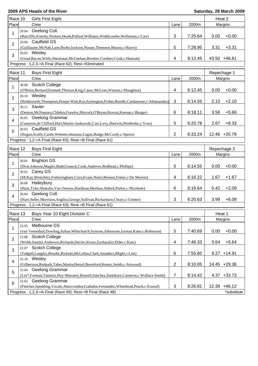| Race 10        |       | <b>Girls First Eight</b>                                                                         |                          |         | Heat 2      |                |
|----------------|-------|--------------------------------------------------------------------------------------------------|--------------------------|---------|-------------|----------------|
| Place          |       | Crew                                                                                             | Lane                     | 2000m   |             | Margins        |
| 1              | 29.04 | Geelong Coll.                                                                                    |                          |         |             |                |
|                |       | (Ratcliffe,Kittelty,Nielsen,Heath,Pollard,Williams,Widdicombe,Welleman,c:Carr)                   | 3                        | 7:25.64 | 0.00        | $+0.00$        |
| $\overline{2}$ |       | 29.06 Caulfield GS                                                                               |                          |         |             |                |
|                |       | (Guillaume, McNab, Lane, Burke, Jackson, Nunan, Thomson, Mason, c: Hayes)                        | 5                        | 7:28.95 | 3.31        | $+3.31$        |
| 3              |       | 29.05 Wesley                                                                                     |                          |         |             |                |
|                |       | (Goad, Bacon, Walls, Shearman, McGeehan, Brenker, Cordner, Cook, c: Hannah)                      | 4                        | 8:12.45 |             | 43.50 +46.81   |
|                |       | Progress: 1,2,3->A Final (Race 62); Rest->Eliminated                                             |                          |         |             |                |
| Race 11        |       | <b>Boys First Eight</b>                                                                          |                          |         | Repechage 1 |                |
| Place          |       | Crew                                                                                             | Lane                     | 2000m   |             | Margins        |
|                |       | 30.08 Scotch College                                                                             |                          |         |             |                |
| 1              |       | (O'Brien, Bernard, Emmett, Thomas, King, Casey, McLean, Watson, c: Houghton)                     | 4                        | 6:12.45 | 0.00        | $+0.00$        |
|                |       | 30.10 Wesley                                                                                     |                          |         |             |                |
| $\overline{2}$ |       | (Holdsworth,Thompson,Doupe-Watt,Kus,Symington,Fisher,Rundle,Cardamone,c:Athanasakis)             | 3                        | 6:14.55 | 2.10        | $+2.10$        |
|                |       | 30.11 Xavier                                                                                     |                          |         |             |                |
| 3              |       | (Denton, McNamara, Chlebra, Frawley, Hiscock, O'Bryan, Rowan, Keenan, c: Burger)                 | 6                        | 6:18.11 | 3.56        | $+5.66$        |
|                |       | 30.05 Geelong Grammar                                                                            |                          |         |             |                |
| 4              |       | (Cameron, de Clifford, Hart, Martin-Jankowski, Carr, Levy, Sherwin, Pembroke, c: Voss)           | 5                        | 6:20.78 | 2.67        | $+8.33$        |
|                |       | 30.03 Caulfield GS                                                                               |                          |         |             |                |
| 5              |       | (Hogan, Scully, Castle, Webster, shannon, Logan, Badge, McCurdy, c: Speirs)                      | $\overline{2}$           | 6:33.24 |             | 12.46 +20.79   |
|                |       | Progress: 1,2->A Final (Race 63); Rest->B Final (Race 61)                                        |                          |         |             |                |
|                |       |                                                                                                  |                          |         |             |                |
| Race 12        |       | <b>Boys First Eight</b>                                                                          |                          |         |             | Repechage 2    |
| Place          |       | Crew                                                                                             | Lane                     | 2000m   |             | Margins        |
| 1              | 30.01 | <b>Brighton GS</b>                                                                               |                          |         |             |                |
|                |       | (Dick,Johnson,Maglio,Bade,Gnauck,Cook,Andrews,Redhead,c:Phillips)                                | 5                        | 6:14.55 | 0.00        | $+0.00$        |
| $\overline{2}$ |       | 30.02 Carey GS                                                                                   |                          |         |             |                |
|                |       | (McKay,Brenchley,Fotheringham,Coco,Evans,Nairn,Benson,Fisher,c:De Morton)                        | 4                        | 6:16.22 | 1.67        | $+1.67$        |
| 3              |       | 30.06 Haileybury                                                                                 |                          |         |             |                |
|                |       | (Hunt,Tyler,Shakalis,Van Orsouw,Hardman,Meehan,Aldred,Parker,c:Nicolette)<br>30.04 Geelong Coll. | 6                        | 6:16.64 | 0.42        | $+2.09$        |
| $\overline{4}$ |       | (Hare, Seller, Morrison, Angliss, George, Sullivan, Richardson, Cleary, c: Grinter)              | 3                        | 6:20.63 | 3.99        | $+6.08$        |
|                |       | Progress: 1,2->A Final (Race 63); Rest->B Final (Race 61)                                        |                          |         |             |                |
|                |       |                                                                                                  |                          |         |             |                |
| Race 13        |       | Boys Year 10 Eight Division C                                                                    |                          |         | Heat 1      |                |
| Place          |       | Crew                                                                                             | Lane                     | 2000m   |             | Margins        |
| 1              | 22.05 | Melbourne GS                                                                                     |                          |         |             |                |
|                |       | (van Veenedaal, Dowling, Sultan, Whitchurch, Symons, Johnstone, Jarman, Kane, c: Robinson)       | 5                        | 7:40.69 | 0.00        | $+0.00$        |
| $\overline{2}$ | 22.08 | <b>Scotch College</b>                                                                            |                          |         |             |                |
|                |       | (Webb,Santini,Anderson,Richards,Davies,Kruse,Zacharakis,Elder,c:Katz)                            | $\overline{\mathcal{A}}$ | 7:46.33 | 5.64        | $+5.64$        |
| $\mathbf{3}$   | 22.07 | <b>Scotch College</b>                                                                            |                          |         |             |                |
|                |       | (Tadgell,Langley,Brooke,Ricketts,McLellan,Clark,Saunders,Blight,c:Lim)                           | $\,6$                    | 7:55.60 |             | $9.27 + 14.91$ |
| 4              |       | 22.10 Wesley                                                                                     |                          |         |             |                |
|                |       | (Gilbertson, Redpath, Tabet, Martin, Hetzel, Beresford, Kenny, Smith, c: Attwood)                | $\overline{2}$           | 8:10.05 |             | 14.45 +29.36   |
| 5              |       | 22.04 Geelong Grammar                                                                            |                          |         |             |                |
|                |       | (Liu*,Forman,Tanmizi,Hoy-Maroney,Russell,Sanchez,Santikarn,Cameron,c:Wallace-Smith)              | $\overline{7}$           | 8:14.42 |             | 4.37 +33.73    |
| 6              |       | 22.03 Geelong Grammar                                                                            |                          |         |             |                |
|                |       | (Fletcher,Spedding,Vocale,Abercrombie,Gadsden,Fernandez,Whitehead,Peach,c:Esnouf)                | $\mathbf{3}$             | 8:26.81 | 12.39       | $+46.12$       |
|                |       | Progress: 1,2,3->A Final (Race 49); Rest->B Final (Race 48)                                      |                          |         |             | *substitute    |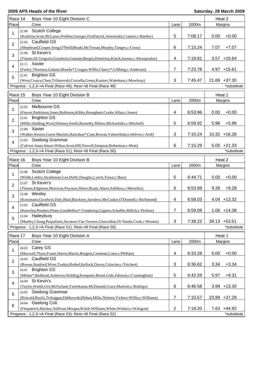| Race 14        |       | Boys Year 10 Eight Division C                                                               |                |         | Heat 2 |                 |
|----------------|-------|---------------------------------------------------------------------------------------------|----------------|---------|--------|-----------------|
| Place          |       | Crew                                                                                        | Lane           | 2000m   |        | Margins         |
|                | 22.06 | Scotch College                                                                              |                |         |        |                 |
| 1              |       | (Karklins, Scott, McLaren, Webber, Georges, FitzPatrick, Antoniadis, Crameri, c: Bartley)   | 5              | 7:08.17 | 0.00   | $+0.00$         |
|                | 22.02 | <b>Caulfield GS</b>                                                                         |                |         |        |                 |
| $\overline{2}$ |       | (Shepheard,Cooper,Song,O'Neill,Meads,McTernan,Murphy,Tangey,c:Cross)                        | 6              | 7:15.24 | 7.07   | $+7.07$         |
|                |       | 22.09 St Kevin's                                                                            |                |         |        |                 |
| 3              |       | (Timms, Di Gregorio, Goodwin, Guinane, Bergin, Dimitriou, Kinch, Jansen, c: Alexopoulos)    | $\overline{4}$ | 7:18.81 | 3.57   | $+10.64$        |
|                |       | 22.11 Xavier                                                                                |                |         |        |                 |
| 4              |       | (Farley, Thornton, Galante, Bourke*, Cougan, Willis, Clancy*, Gillberg, c: Anderson)        | 7              | 7:23.78 |        | 4.97 +15.61     |
|                | 22.01 | <b>Brighton GS</b>                                                                          |                |         |        |                 |
| 5              |       | (West, Crusca, Chen, Trifunovski, Cozzella, Green, Kauiers, Wakeham, c: Mowbray)            | 3              | 7:45.47 |        | 21.69 +37.30    |
|                |       | Progress: 1,2,3->A Final (Race 49); Rest->B Final (Race 48)                                 |                |         |        | *substitute     |
|                |       |                                                                                             |                |         |        |                 |
| Race 15        |       | Boys Year 10 Eight Division B                                                               |                |         | Heat 1 |                 |
| Place          |       | Crew                                                                                        | Lane           | 2000m   |        | Margins         |
|                | 23.05 | Melbourne GS                                                                                |                |         |        |                 |
| 1              |       | (Feaver, Parkinson, Jones, Robinson, Kibby, Brougham, Cooke, Allan, c: Jones)               | 4              | 6:53.96 | 0.00   | $+0.00$         |
|                | 23.01 | <b>Brighton GS</b>                                                                          |                |         |        |                 |
| $\overline{2}$ |       | (Miller, Balding, Ward, Delaney, Smith, Barnetby, Milner, Michaelides, c: Mitchell)         | 5              | 6:59.92 | 5.96   | $+5.96$         |
|                |       | 23.09 Xavier                                                                                |                |         |        |                 |
| 3              |       | (Walker, Kostos, Guest-Marinis, Hanrahan*, Case, Rowan, Valmorbida, Lefebvre, c: Ardi)      | 3              | 7:10.24 |        | $10.32 + 16.28$ |
|                |       | 23.03 Geelong Grammar                                                                       |                |         |        |                 |
| 4              |       | (Calvert-Jones, Smart, Wilton, Scott, Hill, Nowell, Simpson, Robertson, c: Mott)            | 6              | 7:15.29 |        | $5.05 +21.33$   |
|                |       | Progress: 1,2,3->A Final (Race 51); Rest->B Final (Race 50)                                 |                |         |        | *substitute     |
|                |       |                                                                                             |                |         |        |                 |
| Race 16        |       | Boys Year 10 Eight Division B                                                               |                |         | Heat 2 |                 |
| Place          |       | Crew                                                                                        | Lane           | 2000m   |        | Margins         |
| 1              |       | 23.06 Scotch College                                                                        |                |         |        |                 |
|                |       | (Webb,Lobley,Strathmore,Lee,Duffy,Douglas,Lynch,Tissot,c:Bear)                              | 5              | 6:44.71 | 0.00   | $+0.00$         |
| $\overline{2}$ |       | 23.07 St Kevin's                                                                            |                |         |        |                 |
|                |       | (Timms, Edginton, Morrison, Poynton, Shirer, Brady, Ahern, Saflekos, c: Meirelles)          | 6              | 6:53.99 | 9.28   | $+9.28$         |
| 3              |       | 23.08 Wesley                                                                                |                |         |        |                 |
|                |       | (Kossmann, Goodwin, Daly, Blair, Blackney, Jaroslow, McCusker, O'Donnell, c: Richmond)      | 4              | 6:58.03 |        | $4.04 + 13.32$  |
|                |       | 23.02 Caulfield GS                                                                          |                |         |        |                 |
| 4              |       | (Knowles, Pinskier, Pineo, Goodfellow*, Vandertop, Gagiero, Schaffer, Billich, c: Perkins)  | $\overline{7}$ | 6:59.09 |        | $1.06 + 14.38$  |
|                |       | 23.04 Haileybury                                                                            |                |         |        |                 |
| 5              |       | (Manley, Chung, Paspaliaris, Secatore, Van Orsouw, Glascodine, Di Natale, Cook, c: Weston)  | $\sqrt{3}$     | 7:38.22 |        | 39.13 +53.51    |
|                |       | Progress: 1,2,3->A Final (Race 51); Rest->B Final (Race 50)                                 |                |         |        | *substitute     |
|                |       |                                                                                             |                |         |        |                 |
| Race 17        |       | Boys Year 10 Eight Division A                                                               |                |         | Heat 1 |                 |
| Place          |       | Crew                                                                                        | Lane           | 2000m   |        | Margins         |
| 1              | 24.02 | Carey GS                                                                                    |                |         |        |                 |
|                |       | (Maxwell, Thyer, Fraser, Harris, Martin, Burgess, Cremean, Cator, c: Phillips)              | 4              | 6:33.28 | 0.00   | $+0.00$         |
| $\overline{2}$ | 24.03 | <b>Caulfield GS</b>                                                                         |                |         |        |                 |
|                |       | (Rowse, Stanford, Wren, Tonkin, Rothel, Kellock, Davey, Colacino, c: Teichert)              | 3              | 6:36.62 | 3.34   | $+3.34$         |
| 3              |       | 24.01 Brighton GS                                                                           |                |         |        |                 |
|                |       | (Milner*,Redhead,Anderson,Holding,Kempster,Bisset,Gale,Johnson,c:Cunningham)                | 5              | 6:42.59 | 5.97   | $+9.31$         |
| 4              | 24.09 | St Kevin's                                                                                  |                |         |        |                 |
|                |       | (Taylor, Walsh, Utri, McFarlane, Vaitiekunas, McDonald, Grace, Marriott, c: Rodrigo)        | 6              | 6:46.58 |        | $3.99 + 13.30$  |
| 5              |       | 24.05 Geelong Grammar                                                                       |                |         |        |                 |
|                |       | (Kincaid, Baylis, Treloggan, Dabkowski, Hoban, Miles, Nielsen, Vickers-Willis, c: Williams) | 7              | 7:10.57 |        | 23.99 +37.29    |
| 6              |       | 24.04 Geelong Coll.                                                                         |                |         |        |                 |
|                |       | (Fitzpatrick, Mackey, Sullivan, Morgan, Walsh, Williams, White, Wishart, c: Walsgott)       | $\overline{2}$ | 7:18.20 |        | 7.63 +44.92     |
|                |       | Progress: 1,2,3->A Final (Race 53); Rest->B Final (Race 52)                                 |                |         |        | *substitute     |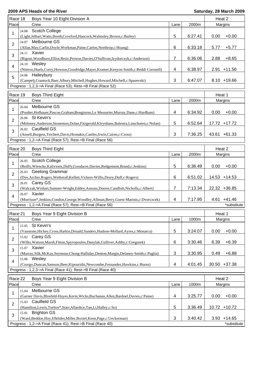| Race 18        |       | Boys Year 10 Eight Division A                                                               |                |         | Heat 2 |                 |
|----------------|-------|---------------------------------------------------------------------------------------------|----------------|---------|--------|-----------------|
| Place          |       | Crew                                                                                        | Lane           | 2000m   |        | Margins         |
|                | 24.08 | Scotch College                                                                              |                |         |        |                 |
| 1              |       | (Light,Jelbart,Watts,Booth,Croxford,Hancock,Walmsley,Brown,c:Bailey)                        | 5              | 6:27.41 | 0.00   | $+0.00$         |
|                |       | 24.07 Melbourne GS                                                                          |                |         |        |                 |
| $\overline{2}$ |       | (Allan, May, Carlin, Doyle, Workman, Paine, Carlon, Northrop, c: Hoang)                     | 6              | 6:33.18 | 5.77   | $+5.77$         |
|                |       | 24.11 Xavier                                                                                |                |         |        |                 |
| 3              |       | (Rigoni, Woodburn, Elliot, Resic, Prowse, Davies, O'Sullivan, Izydorczyk, c: Anderson)      | 7              | 6:36.06 | 2.88   | $+8.65$         |
|                |       | 24.10 Wesley                                                                                |                |         |        |                 |
| 4              |       | (Niteros, Huels, Corry, Howson, Goodridge, Mayer, Kramer, Kenyon-Smith, c: Reddi Coronell)  | 4              | 6:38.97 |        | 2.91 +11.56     |
|                |       | 24.06 Haileybury                                                                            |                |         |        |                 |
| 5              |       | (Campelj,Crantock,Baer,Albury,Mitchell,Hughes,Howard,Mitchell,c:Spasevski)                  | 3              | 6:47.07 |        | $8.10 + 19.66$  |
|                |       | Progress: 1,2,3->A Final (Race 53); Rest->B Final (Race 52)                                 |                |         |        |                 |
|                |       |                                                                                             |                |         |        |                 |
| Race 19        |       | <b>Boys Third Eight</b>                                                                     |                |         | Heat 1 |                 |
| Place          |       | Crew                                                                                        | Lane           | 2000m   |        | Margins         |
| 1              | 26.04 | Melbourne GS                                                                                |                |         |        |                 |
|                |       | (Poulter, Hofbauer, Pascoe, Graham, Bongiorno, Le Messurier, Murray, Dane, c: Hardham)      | 4              | 6:34.92 | 0.00   | $+0.00$         |
| 2              |       | 26.06 St Kevin's                                                                            |                |         |        |                 |
|                |       | (Moloney, Anderson, Stonemon, Dolan, Fitzgerald, Kleynhans, Balestra, Linschoten, c: Nolan) | 5              | 6:52.64 |        | 17.72 +17.72    |
|                |       | 26.02 Caulfield GS                                                                          |                |         |        |                 |
| 3              |       | (Ansell, Burgess, Teichert, Davis, Hronakis, Castles, Irwin, Cairns, c: Cross)              | 3              | 7:36.25 |        | 43.61 +61.33    |
|                |       | Progress: 1,2->A Final (Race 57); Rest->B Final (Race 56)                                   |                |         |        |                 |
|                |       |                                                                                             |                |         |        |                 |
| Race 20        |       | <b>Boys Third Eight</b>                                                                     |                |         | Heat 2 |                 |
| Place          |       | Crew                                                                                        | Lane           | 2000m   |        | Margins         |
| 1              | 26.05 | <b>Scotch College</b>                                                                       |                |         |        |                 |
|                |       | (Reilly, Wiencke, Kaliviotis, Duffy, Goodacre, Davies, Redgement, Brand, c: Jenkins)        | 5              | 6:36.49 | 0.00   | $+0.00$         |
| $\overline{2}$ | 26.03 | Geelong Grammar                                                                             |                |         |        |                 |
|                |       | (Dye,Archer,Rogers,Wetherall,Kellett,Vickers-Willis,Drury,Duff,c:Rogers)                    | 6              | 6:51.02 |        | 14.53 +14.53    |
| 3              |       | 26.01 Carey GS                                                                              |                |         |        |                 |
|                |       | (Walczak, Wishart, Sumner-Wright, Eddey, Ansons, Doerre, Candlish, Nicholls, c: Albert)     | 7              | 7:13.34 |        | 22.32 +36.85    |
| $\overline{4}$ |       | 26.07 Xavier                                                                                |                |         |        |                 |
|                |       | (Morrison*,Jenkins,Condon,George,Woodley,Allman,Berry,Guest-Marinis,c:Dvorczcek)            | 4              | 7:17.95 |        | $4.61 + 41.46$  |
|                |       | Progress: 1,2->A Final (Race 57); Rest->B Final (Race 56)                                   |                |         |        | *substitute     |
| Race 21        |       | Boys Year 9 Eight Division B                                                                |                |         | Heat 1 |                 |
| Place          |       | Crew                                                                                        | Lane           | 1000m   |        | Margins         |
|                |       |                                                                                             |                |         |        |                 |
| 1              | 15.05 | St Kevin's                                                                                  |                |         |        |                 |
|                |       | (Vanstone, Hickey, Cross, Harkin, Donald, Sanders, Hudson-Mollard, Ayres, c: Monarca)       | 5              | 3:24.07 | 0.00   | $+0.00$         |
| $\overline{2}$ | 15.02 | Carey GS                                                                                    |                |         |        |                 |
|                |       | (Wilks, Watson, Marsh, Fitton, Spyropoulos, Danylak, Gulliver, Ashby, c: Gregurek)          | 6              | 3:30.46 | 6.39   | $+6.39$         |
| 3              |       | 15.07 Xavier                                                                                |                |         |        |                 |
|                |       | (Murray, Silk, McKay, Seymour, Chong-Halliday, Denton, Margin, Delaney-Smith, c: Paglia)    | 3              | 3:30.95 | 0.49   | $+6.88$         |
| 4              |       | 15.06 Wesley                                                                                |                |         |        |                 |
|                |       | (Csorgo, Duncan, Samson, Beer, Kipouridis, Newcombe, Fernandez, Hawkins, c: Burns)          | $\overline{4}$ | 4:01.45 |        | $30.50 + 37.38$ |
|                |       | Progress: 1,2,3->A Final (Race 41); Rest->B Final (Race 40)                                 |                |         |        |                 |
| Race 22        |       | Boys Year 9 Eight Division B                                                                |                |         | Heat 2 |                 |
| Place          |       | Crew                                                                                        | Lane           | 1000m   |        | Margins         |
|                | 15.04 | Melbourne GS                                                                                |                |         |        |                 |
| 1              |       | (Garner Davis, Blosfeld-Hayes, Kerin, Wicks, Buchanan, Allen, Bardoel, Davies, c: Paine)    | 4              | 3:25.77 | 0.00   | $+0.00$         |
|                | 15.03 | <b>Caulfield GS</b>                                                                         |                |         |        |                 |
| $\overline{2}$ |       | (Hamilton,Lewis,Tselios*,Starr,Allardice,Tan,Li,Halley,c:So)                                | 5              | 3:36.49 |        | 10.72 +10.72    |
|                | 15.01 | <b>Brighton GS</b>                                                                          |                |         |        |                 |
| 3              |       | (Ward,Beddoe,Hoy,Efklides,Miller,Boxtel,Keen,Page,c:Ueckerman)                              | 3              | 3:40.42 |        | $3.93 + 14.65$  |
|                |       | Progress: 1,2->A Final (Race 41); Rest->B Final (Race 40)                                   |                |         |        | *substitute     |
|                |       |                                                                                             |                |         |        |                 |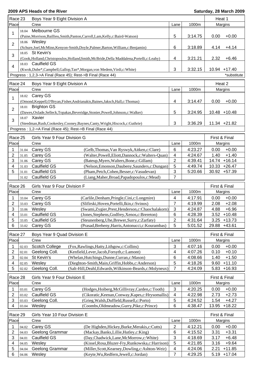|                | Race 23<br>Boys Year 9 Eight Division A |                                                                                                       |                |         | Heat 1            |  |
|----------------|-----------------------------------------|-------------------------------------------------------------------------------------------------------|----------------|---------|-------------------|--|
| Place          |                                         | Crew                                                                                                  | Lane           | 1000m   | Margins           |  |
|                | 18.04                                   | Melbourne GS                                                                                          |                |         |                   |  |
| 1              |                                         | (Paine, Morrison, Baillieu, Smith, Panton, Carroll, Lam, Kelly, c: Baird-Watson)                      | 5              | 3:14.75 | 0.00<br>$+0.00$   |  |
|                |                                         | 18.06 Wesley                                                                                          |                |         |                   |  |
| $\overline{2}$ |                                         | (Schure, Joel, McMinn, Kenyon-Smith, Doyle, Palmer, Barton, William, c: Benjamin)                     |                | 3:18.89 | 4.14<br>$+4.14$   |  |
|                |                                         |                                                                                                       | 6              |         |                   |  |
| 3              |                                         | 18.05 St Kevin's                                                                                      |                |         |                   |  |
|                |                                         | (Gook,Holland,Christopoulos,Holland,Smith,McBride,Della Maddalena,Portelli,c:Leahy)                   | 4              | 3:21.21 | 2.32<br>$+6.46$   |  |
| 4              |                                         | 18.03 Caulfield GS                                                                                    |                |         |                   |  |
|                |                                         | (Kwok,Dube*,Campbell,Gallop,Tan*,Morgan,von Medem,Virdi,c:White)                                      | 3              | 3:32.15 | 10.94 +17.40      |  |
|                |                                         | Progress: 1,2,3->A Final (Race 45); Rest->B Final (Race 44)                                           |                |         | *substitute       |  |
| Race 24        |                                         | Boys Year 9 Eight Division A                                                                          |                |         | Heat 2            |  |
| Place          |                                         | Crew                                                                                                  | Lane           | 1000m   | Margins           |  |
|                |                                         | 18.02 Carey GS                                                                                        |                |         |                   |  |
| 1              |                                         |                                                                                                       | 4              |         | 0.00<br>$+0.00$   |  |
|                | 18.01                                   | (Omond, Keppell, O'Bryan, Fisher, Andrianakis, Baines, Jaksch, Hall, c: Thomas)<br><b>Brighton GS</b> |                | 3:14.47 |                   |  |
| $\overline{2}$ |                                         |                                                                                                       | 5              |         |                   |  |
|                |                                         | (Dawes, Oxlade, Selleck, Topakas, Beveridge, Stonier, Powell, Johnson, c: Walker)                     |                | 3:24.95 | $10.48 + 10.48$   |  |
| 3              |                                         | 18.07 Xavier                                                                                          |                |         |                   |  |
|                |                                         | (Steedman, Rush, Cookesley, Cooney, Baynes, Canty, Wright, Hiscock, c: Guthrie)                       | 3              | 3:36.29 | 11.34 +21.82      |  |
|                |                                         | Progress: 1,2->A Final (Race 45); Rest->B Final (Race 44)                                             |                |         |                   |  |
| Race 25        |                                         | Girls Year 9 Four Division G                                                                          |                |         | First & Final     |  |
| Place          |                                         | Crew                                                                                                  | Lane           | 1000m   | Margins           |  |
| 1              |                                         | Carey GS<br>(Gelb, Thomas, Van Ryswyk, Aitken, c: Clare)                                              | 6              | 4:23.27 | 0.00<br>$+0.00$   |  |
| 2              | 31.04                                   | Carey GS                                                                                              | 4              | 4:24.67 | $+1.40$<br>1.40   |  |
|                | 31.05                                   | (Walter, Powell, Eliott, Dannock, c: Walters-Quan)                                                    |                |         |                   |  |
| 3              | 31.06                                   | Carey GS<br>(Bateup, Myers, Walters, Bone, c: Gillam)                                                 | $\overline{c}$ | 4:39.41 | 14.74 +16.14      |  |
| 4              | 31.03                                   | Caulfield GS<br>(Nelson, Emonson, Daubeny, Saunders, c: Dungan)                                       | 5              | 4:49.74 | 10.33 +26.47      |  |
| 5              | 31.01                                   | <b>Caulfield GS</b><br>(Pham, Petch, Cohen, Besser, c: Vasudevan)                                     | 3              | 5:20.66 | 30.92 +57.39      |  |
|                | 31.02                                   | <b>Caulfield GS</b><br>(Liang, Maher, Broad, Papadopoulos, c: Mead)                                   | 7              |         |                   |  |
| Race 26        |                                         | Girls Year 9 Four Division F                                                                          |                |         | First & Final     |  |
| Place          |                                         | Crew                                                                                                  | Lane           | 1000m   | Margins           |  |
| 1              | 33.04                                   | Carey GS<br>(Carlile, Denham, Pringle, Cini, c: Longmire)                                             | 4              | 4:17.91 | 0.00<br>$+0.00$   |  |
| 2              | 33.03                                   | Carey GS<br>(Slifirski, Hoven, Portelli, Ikin, c: Svinos)                                             | 7              | 4:19.99 | 2.08<br>$+2.08$   |  |
| 3              |                                         | 33.06 Wesley<br>(Swami,Zygier,Prest,Henderson,c:Chaochalakorn)                                        | 3              | 4:24.87 | 4.88<br>$+6.96$   |  |
| 4              | 33.01                                   | Caulfield GS<br>(Jones, Stephens, Godfrey, Xenos, c: Brereton)                                        | 6              | 4:28.39 | $3.52 + 10.48$    |  |
| 5              | 33.05                                   | Caulfield GS<br>(Steunenberg, Uhe, Brewer, Surry, c: Zarfaty)                                         | 2              | 4:31.64 | $3.25 + 13.73$    |  |
| 6              |                                         | Carey GS<br>(Prasad, Breheny, Harris, Antonucci, c: Kourambas)                                        | 5              | 5:01.52 | 29.88 +43.61      |  |
|                | 33.02                                   |                                                                                                       |                |         |                   |  |
| Race 27        |                                         | Boys Year 9 Quad Division E                                                                           |                |         | First & Final     |  |
| Place          |                                         | Crew                                                                                                  | Lane           | 1000m   | Margins           |  |
| 1              | 02.03                                   | Scotch College<br>(Fox, Rawlings, Hatty, Lithgow, c: Collins)                                         | $\mathbf{3}$   | 4:07.16 | 0.00<br>$+0.00$   |  |
| 2              | 02.01                                   | Geelong Coll.<br>(Kenfield,Lever,Jacob,Forsyth,c:Lamont)                                              | 4              | 4:07.26 | 0.10<br>$+0.10$   |  |
| 3              | 02.04                                   | St Kevin's<br>(Whelan, Hutchings, Dunne, Curran, c: Mason)                                            | $\,6$          | 4:08.66 | $+1.50$<br>1.40   |  |
| 4              | 02.05                                   | Wesley<br>(Dieghton-Smith, Main, Griffin, Hobbs, c: Anderson)                                         | 5              | 4:18.26 | $+11.10$<br>9.60  |  |
| 5              | 02.02                                   | Geelong Coll.<br>(Salt-Hill, Deahl, Edwards, Wilkinson-Beards, c: Molyneux)                           | $\overline{7}$ | 4:24.09 | $5.83 + 16.93$    |  |
|                |                                         |                                                                                                       |                |         |                   |  |
| Race 28        |                                         | Girls Year 9 Four Division E                                                                          |                |         | First & Final     |  |
| Place          |                                         | Crew                                                                                                  | Lane           | 1000m   | Margins           |  |
| 1              | 03.01                                   | Carey GS<br>(Hodges, Hoiberg, McGillivray, Carden, c: Tooth)                                          | 3              | 4:20.25 | $+0.00$<br>0.00   |  |
| 2              | 03.02                                   | Caulfield GS<br>(Cikoratic, Keenan, Conway, Kapes, c: Hrysomallis)                                    | 4              | 4:22.98 | 2.73<br>$+2.73$   |  |
| 3              | 03.03                                   | (Grieg, Walsh, Duffield, Russell, c: Porto)<br>Geelong Coll.                                          | 5              | 4:24.52 | 1.54<br>$+4.27$   |  |
| 4              | 03.04                                   | Wesley<br>(Coombs, Oldmeadow, Gurry, Pike, c: Prince)                                                 | 6              | 4:38.47 | 13.95<br>$+18.22$ |  |
|                |                                         |                                                                                                       |                |         |                   |  |
| Race 29        |                                         | Girls Year 10 Four Division E                                                                         |                |         | First & Final     |  |
| Place          |                                         | Crew                                                                                                  | Lane           | 1000m   | Margins           |  |
| 1              | 04.02                                   | Carey GS<br>(De Highden, Hickey, Burke, Merakis, c: Cutts)                                            | $\overline{2}$ | 4:12.21 | 0.00<br>$+0.00$   |  |
| 2              | 04.03                                   | Geelong Grammar<br>(Mackay, Banks, Lillie, Hutley, c: King)                                           | 6              | 4:15.52 | 3.31<br>$+3.31$   |  |
| 3              | 04.01                                   | Caulfield GS<br>(Day,Chadwick,Lane,McMorrow,c:White)                                                  | 3              | 4:18.69 | 3.17<br>$+6.48$   |  |
| 4              | 04.05                                   | Wesley<br>(Kissel, Rosa, Bluzer-Fry, Runkowska, c: Harrison)                                          | 5              | 4:21.85 | 3.16<br>$+9.64$   |  |
| 5              | 04.04                                   | (Miller, Scott, Kearney, Dowling, c: Ashton-Weir)<br>Geelong Grammar                                  | 4              | 4:24.06 | 2.21<br>$+11.85$  |  |
| 6              | 04.06                                   | Wesley<br>(Keyte, Wu, Redfern, Jewell, c: Jordan)                                                     | 7              | 4:29.25 | $5.19 + 17.04$    |  |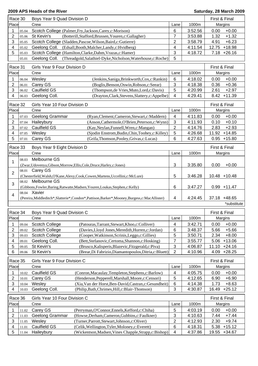| Race 30                 |       | Boys Year 9 Quad Division D                                                                      |                              |         |                   |  |
|-------------------------|-------|--------------------------------------------------------------------------------------------------|------------------------------|---------|-------------------|--|
| Place                   |       | Crew<br>Lane<br>1000m                                                                            |                              |         | Margins           |  |
| 1                       | 05.04 | Scotch College (Palmer, Fry, Jackson, Carey, c: Morison)                                         | 6                            | 3:52.56 | $+0.00$<br>0.00   |  |
| $\overline{2}$          | 05.06 | St Kevin's<br>(Botterill, Stafford, Brussen, Youren, c: Gallagher)                               | $\overline{7}$               | 3:53.88 | $+1.32$<br>1.32   |  |
| 3                       | 05.05 | Scotch College (Sladden, Pascoe, Wilson, Baird, c: Gutierre)                                     | $\overline{2}$               | 3:58.79 | $+6.23$<br>4.91   |  |
| 4                       | 05.02 | Geelong Coll. (Edsall, Booth, Malcher, Landy, c: Hvidberg)                                       | 4                            | 4:11.54 | $+18.98$<br>12.75 |  |
| 5                       | 05.03 | Scotch College (Hamilton, Clarke, Dahm, Vrazas, c: Hamer)                                        | 3                            | 4:18.72 | $7.18 +26.16$     |  |
|                         | 05.01 | Geelong Coll.<br>(Threadgold, Salathiel-Dyke, Nicholson, Waterhouse, c: Roche)                   | 5                            |         |                   |  |
|                         |       |                                                                                                  |                              |         |                   |  |
| Race 31                 |       | Girls Year 9 Four Division D                                                                     |                              |         | First & Final     |  |
| Place                   |       | Crew                                                                                             | Lane                         | 1000m   | Margins           |  |
| 1                       | 06.04 | Wesley<br>(Jenkins, Saniga, Brinkworth, Cox, c: Rankin)                                          | 6                            | 4:18.02 | $+0.00$<br>0.00   |  |
| $\overline{2}$          | 06.01 | Carey GS<br>(Boglis, Benson, Oswin, Robson, c: Seear)                                            | $\sqrt{3}$                   | 4:18.38 | $+0.36$<br>0.36   |  |
| 3                       | 06.02 | Caulfield GS<br>(Thompson, de Vries, Muto, Lord, c: Davis)                                       | 5                            | 4:20.99 | 2.61<br>$+2.97$   |  |
| 4                       | 06.03 | Geelong Coll.<br>(Drayton, Clark, Stevens, Slattery, c: Appelbe)                                 | 4                            | 4:29.41 | 8.42<br>$+11.39$  |  |
| Race 32                 |       | Girls Year 10 Four Division D                                                                    |                              |         | First & Final     |  |
| Place                   |       | Crew                                                                                             | Lane                         | 1000m   | Margins           |  |
| 1                       | 07.03 | Geelong Grammar<br>(Ryan, Clement, Cameron, Stewart, c: Maddern)                                 | $\overline{\mathbf{4}}$      | 4:11.83 | 0.00<br>$+0.00$   |  |
| $\overline{c}$          | 07.04 | Haileybury<br>(Anson, Cathermole, O'Brien, Peterson, c: Wynn)                                    | $\mathfrak{S}$               | 4:11.93 | $+0.10$<br>0.10   |  |
| 3                       | 07.02 | <b>Caulfield GS</b><br>(Kay, Neylan, Funnell, Wren, c: Mangan)                                   | $\overline{2}$               | 4:14.76 | $+2.93$<br>2.83   |  |
| 4                       | 07.05 | Wesley<br>(Sjodin Enstrom, Budin, Chin, Toohey, c: Killey)                                       | 5                            | 4:26.68 | 11.92 +14.85      |  |
| 5                       | 07.01 | Carey GS<br>(Grifa, Thomson, Pooley, Grivas, c: Lucas)                                           | 6                            | 4:27.63 | $0.95 + 15.80$    |  |
|                         |       |                                                                                                  |                              |         |                   |  |
| Race 33                 |       | Boys Year 9 Eight Division D                                                                     |                              |         | First & Final     |  |
| Place                   |       | Crew                                                                                             | Lane                         | 1000m   | Margins           |  |
| 1                       | 08.03 | Melbourne GS                                                                                     |                              |         |                   |  |
|                         |       | (Zwar,Udovenya,Gibson,Morrow,Ellis,Cole,Druce,Harley,c:Jones)                                    | 3                            | 3:35.80 | 0.00<br>$+0.00$   |  |
| $\overline{2}$          | 08.01 | Carey GS                                                                                         |                              |         |                   |  |
|                         |       | (Chesterfield, Walsh, O'Kane, Alexy, Cook, Cowen, Martens, Uccellini, c: McLure)                 | 5                            | 3:46.28 | $10.48 + 10.48$   |  |
| 3                       |       | 08.02 Melbourne GS                                                                               |                              |         |                   |  |
|                         |       | (Gibbons, Fowler, Baring, Ratwatte, Madsen, Youren, Loukas, Stephen, c: Kelly)                   | 6                            | 3:47.27 | $0.99 + 11.47$    |  |
| 4                       |       | 08.04 Xavier                                                                                     |                              |         |                   |  |
|                         |       | (Pereira, Middleditch*, Slatterie*, Condon*, Pattison, Barker*, Mooney, Burgess, c: MacAllister) | 4                            | 4:24.45 | 37.18 +48.65      |  |
|                         |       |                                                                                                  |                              |         | *substitute       |  |
| Race 34                 |       | Boys Year 9 Quad Division C                                                                      |                              |         | First & Final     |  |
| Place                   |       | Crew                                                                                             | Lane                         | 1000m   | Margins           |  |
|                         |       |                                                                                                  |                              |         |                   |  |
| 1                       | 09.04 | Scotch College<br>(Patouras, Tarrant, Stewart, Khoo, c: Colliver)                                | 4                            | 3:42.71 | $+0.00$<br>0.00   |  |
| $\overline{\mathbf{c}}$ | 09.02 | (Davies, Lloyd Jones, Meredith, Hurren, c: Jordan)<br>Scotch College                             | 6                            | 3:48.37 | $+5.66$<br>5.66   |  |
| $\sqrt{3}$              | 09.03 | Scotch College<br>(Cooper, Watkinson, Scrinis, Leggo, c: Gillies)                                | 5                            | 3:50.71 | 2.34<br>$+8.00$   |  |
| 4                       | 09.01 | Geelong Coll.<br>(Bett, Stefanovic, Certoma, Shannon, c: Hosking)                                | 7                            | 3:55.77 | 5.06<br>$+13.06$  |  |
| 5                       | 09.05 | St Kevin's<br>(Brusco, Kalisperis, Blazevic, Fitzgerald, c: Piva)                                | $\sqrt{3}$<br>$\overline{2}$ | 4:06.87 | 11.10<br>$+24.16$ |  |
| 6                       | 09.06 | St Kevin's<br>(Brear, Di Fabrizio, Diamantopoulos, Ditria, c: Bluett)                            |                              | 4:10.96 | 4.09<br>$+28.25$  |  |
| Race 35                 |       | Girls Year 9 Four Division C                                                                     |                              |         | First & Final     |  |
| Place                   |       | Crew                                                                                             | Lane                         | 1000m   | Margins           |  |
| 1                       | 10.02 | Caulfield GS<br>(Conron, Macaulay, Templeton, Stephens, c: Barlow)                               | 4                            | 4:05.75 | $+0.00$<br>0.00   |  |
| 2                       | 10.01 | Carey GS<br>(Henderson, Pepperell, Marshall, Moore, c: Censori)                                  | 5                            | 4:12.65 | 6.90<br>$+6.90$   |  |
| 3                       | 10.04 | (Xia, Van der Horst, Ben-David, Castran, c: Gesundheit)<br>Wesley                                | 6                            | 4:14.38 | 1.73<br>$+8.63$   |  |
| 4                       | 10.03 | Geelong Coll.<br>(Philip, Bath, Chrimes, Hill, c: Blair-Thomson)                                 | $\sqrt{3}$                   | 4:30.87 | $+25.12$<br>16.49 |  |
|                         |       |                                                                                                  |                              |         |                   |  |
| Race 36                 |       | Girls Year 10 Four Division C                                                                    |                              |         | First & Final     |  |
| Place                   |       | Crew                                                                                             | Lane                         | 1000m   | Margins           |  |
| 1                       | 11.02 | Carey GS<br>(Perryman, O'Connor, Ennels, Kefford, c: Chiha)                                      | 5                            | 4:03.19 | $+0.00$<br>0.00   |  |
| 2                       | 11.03 | (Howse, Derham, Cameron, Gubbins, c: Faulkner)<br>Geelong Grammar                                | 3                            | 4:10.63 | $+7.44$<br>7.44   |  |
| 3                       | 11.05 | Wesley<br>(Turner, Parrott, Stewart, Johnson, c: Oliver)                                         | $\overline{c}$               | 4:12.93 | 2.30<br>$+9.74$   |  |
| 4                       | 11.01 | Caulfield GS<br>(Celik, Wellington, Tyler, Moloney, c: Everett)                                  | 6                            | 4:18.31 | $+15.12$<br>5.38  |  |
| 5                       | 11.04 | Haileybury<br>(Wickentson, Madsen, Vines Chapple, Strapp, c: Bishop)                             | 4                            | 4:37.86 | 19.55<br>$+34.67$ |  |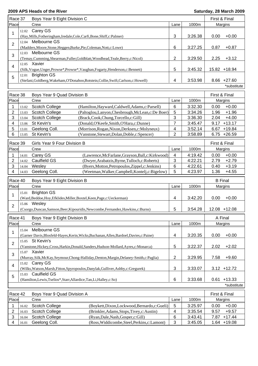|                         | Race 37<br>Boys Year 9 Eight Division C |                                                                                          |                         |         |                  |
|-------------------------|-----------------------------------------|------------------------------------------------------------------------------------------|-------------------------|---------|------------------|
| Place                   |                                         | Crew                                                                                     | Lane                    | 1000m   | Margins          |
|                         | 12.02                                   | Carey GS                                                                                 |                         |         |                  |
| 1                       |                                         | (Hay, Mills, Fotheringham, Iredale, Cole, Carfi, Bone, Shiff, c: Palmer)                 | 3                       | 3:26.38 | 0.00<br>$+0.00$  |
|                         | 12.04                                   | Melbourne GS                                                                             |                         |         |                  |
| $\overline{2}$          |                                         | (Madders, Moore, Stone, Heggen, Burke, Pie, Coleman, Nott, c: Lowe)                      | 6                       | 3:27.25 | 0.87<br>$+0.87$  |
|                         | 12.03                                   | Melbourne GS                                                                             |                         |         |                  |
| 3                       |                                         | (Temay, Cumming, Shearman, Fuller, Goldblatt, Woodhead, Teale, Berry, c: Nicol)          | 2                       | 3:29.50 | 2.25<br>$+3.12$  |
|                         |                                         | 12.05 Xavier                                                                             |                         |         |                  |
| $\overline{\mathbf{4}}$ |                                         | (Silk, Vogue, Unger, Prowse*, Prowse*, Vaughan, Fogarty, Henderson, c: Bennett)          | 5                       | 3:45.32 | 15.82 +18.94     |
|                         | 12.01                                   | <b>Brighton GS</b>                                                                       |                         |         |                  |
| 5                       |                                         | (Stefani, Goldberg, Wakeham, O'Donahoo, Rotstein, Collie, Swift, Carlson, c: Howell)     | 4                       | 3:53.98 | $8.66 + 27.60$   |
|                         |                                         |                                                                                          |                         |         | *substitute      |
|                         |                                         |                                                                                          |                         |         |                  |
| Race 38                 |                                         | Boys Year 9 Quad Division B                                                              |                         |         | First & Final    |
| Place                   |                                         | Crew                                                                                     | Lane                    | 1000m   | Margins          |
| 1                       | 13.02                                   | <b>Scotch College</b><br>(Hamilton, Hayward, Caldwell, Adams, c: Parsell)                | $6\phantom{1}6$         | 3:32.30 | 0.00<br>$+0.00$  |
| $\overline{2}$          | 13.03                                   | <b>Scotch College</b><br>(Paltoglou,Lanyon,Chesbrough,McLean,c:De Boer)                  | 5                       | 3:34.26 | $+1.96$<br>1.96  |
| 3                       | 13.04                                   | <b>Scotch College</b><br>(Brack, Cook, Chung, Torcello, c: Gill)                         | 3                       | 3:36.30 | 2.04<br>$+4.00$  |
| 4                       | 13.06                                   | St Kevin's<br>(Donald, O'Keefe, Smith, O'Hara, c: Dunne)                                 | $\overline{7}$          | 3:45.47 | $+13.17$<br>9.17 |
| 5                       | 13.01                                   | Geelong Coll.<br>(Morrison, Rogan, Nixon, Derksen, c: Molyneux)                          | 4                       | 3:52.14 | $+19.84$<br>6.67 |
| 6                       | 13.05                                   | St Kevin's<br>(Vanstone, Stewart, Dolan, Doble, c: Spencer)                              | $\overline{2}$          | 3:58.89 | $6.75 +26.59$    |
|                         |                                         |                                                                                          |                         |         |                  |
| Race 39                 |                                         | Girls Year 9 Four Division B                                                             |                         |         | First & Final    |
| Place                   |                                         | Crew                                                                                     | Lane                    | 1000m   | Margins          |
| 1                       | 14.01                                   | Carey GS<br>(Lawrence, McFarlane, Grayson, Ball, c: Kirkwood)                            | 4                       | 4:19.42 | $+0.00$<br>0.00  |
| 2                       | 14.02                                   | <b>Caulfield GS</b><br>(Dwyer, Arabatzis, Byrne, Tulloch, c: Roberts)                    | 3                       | 4:22.21 | $+2.79$<br>2.79  |
| 3                       | 14.04                                   | (Byers, Motton, Petropoulos, Zippel, c: Jenkins)<br>Wesley                               | 6                       | 4:22.61 | 0.40<br>$+3.19$  |
| 4                       | 14.03                                   | Geelong Coll.<br>(Weetman, Walker, Campbell, Kontelj, c: Bigelow)                        | 5                       | 4:23.97 | $+4.55$<br>1.36  |
|                         |                                         |                                                                                          |                         |         |                  |
| Race 40                 |                                         | Boys Year 9 Eight Division B                                                             |                         |         | <b>B</b> Final   |
| Place                   |                                         | Crew                                                                                     | Lane                    | 1000m   | Margins          |
|                         | 15.01                                   | <b>Brighton GS</b>                                                                       |                         |         |                  |
| 1                       |                                         | (Ward,Beddoe,Hoy,Efklides,Miller,Boxtel,Keen,Page,c:Ueckerman)                           | 4                       | 3:42.20 | 0.00<br>$+0.00$  |
|                         | 15.06                                   | Wesley                                                                                   |                         |         |                  |
| $\overline{2}$          |                                         | (Csorgo,Duncan,Samson,Beer,Kipouridis,Newcombe,Fernandez,Hawkins,c:Burns)                | 5                       | 3:54.28 | 12.08 +12.08     |
|                         |                                         |                                                                                          |                         |         |                  |
| Race 41                 |                                         | Boys Year 9 Eight Division B                                                             |                         |         | A Final          |
| Place                   |                                         | Crew                                                                                     | Lane                    | 1000m   | Margins          |
| 1                       | 15.04                                   | Melbourne GS                                                                             |                         |         |                  |
|                         |                                         | (Garner Davis, Blosfeld-Hayes, Kerin, Wicks, Buchanan, Allen, Bardoel, Davies, c: Paine) | $\overline{\mathbf{4}}$ | 3:20.35 | 0.00<br>$+0.00$  |
| $\overline{2}$          | 15.05                                   | St Kevin's                                                                               |                         |         |                  |
|                         |                                         | (Vanstone, Hickey, Cross, Harkin, Donald, Sanders, Hudson-Mollard, Ayres, c: Monarca)    | 5                       | 3:22.37 | 2.02<br>$+2.02$  |
| 3                       |                                         | 15.07 Xavier                                                                             |                         |         |                  |
|                         |                                         | (Murray, Silk, McKay, Seymour, Chong-Halliday, Denton, Margin, Delaney-Smith, c: Paglia) | 2                       | 3:29.95 | $+9.60$<br>7.58  |
|                         |                                         | 15.02 Carey GS                                                                           |                         |         |                  |
| 4                       |                                         | (Wilks, Watson, Marsh, Fitton, Spyropoulos, Danylak, Gulliver, Ashby, c: Gregurek)       | 3                       | 3:33.07 | $3.12 + 12.72$   |
|                         | 15.03                                   | <b>Caulfield GS</b>                                                                      |                         |         |                  |
| 5                       |                                         | (Hamilton,Lewis,Tselios*,Starr,Allardice,Tan,Li,Halley,c:So)                             | 6                       | 3:33.68 | $+13.33$<br>0.61 |
|                         |                                         |                                                                                          |                         |         | *substitute      |
|                         |                                         |                                                                                          |                         |         |                  |
| Race 42                 |                                         | Boys Year 9 Quad Division A                                                              |                         |         | First & Final    |
| Place                   |                                         | Crew                                                                                     | Lane                    | 1000m   | Margins          |
| 1                       | 16.02                                   | (Boykett, Dixon, Lockwood, Bernardo, c: Gueli)<br><b>Scotch College</b>                  | 5                       | 3:25.97 | $+0.00$<br>0.00  |
| $\overline{c}$          | 16.03                                   | Scotch College<br>(Brinkler, Adams, Stops, Tivey, c: Austin)                             | 4                       | 3:35.54 | 9.57<br>$+9.57$  |
| 3                       | 16.04                                   | <b>Scotch College</b><br>(Ryan, Dale, Nash, Gosper, c: Gill)                             | $\,6$                   | 3:43.41 | $+17.44$<br>7.87 |

4 16.01 Geelong Coll. (Ross, Widdicombe, Steel, Perkins, c: Lamont) 3 3:45.05 1.64 +19.08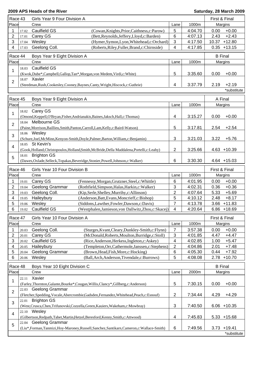| Race 43        | Girls Year 9 Four Division A |                                                                                                        |                                                       | First & Final  |         |                |                |
|----------------|------------------------------|--------------------------------------------------------------------------------------------------------|-------------------------------------------------------|----------------|---------|----------------|----------------|
| Place          | 1000m<br>Crew<br>Lane        |                                                                                                        |                                                       | Margins        |         |                |                |
| 1              | 17.02                        | Caulfield GS                                                                                           | (Cowan, Knights, Prior, Caithness, c: Parow)          | 5              | 4:04.70 | 0.00           | $+0.00$        |
| 2              | 17.01                        | Carey GS                                                                                               | (Bett, Reynolds, Jeffery, Lloyd, c: Barden)           | $\,6$          | 4:07.13 | 2.43           | $+2.43$        |
| 3              | 17.04                        | Wesley                                                                                                 | (Hymer,Symon,Lyon,Whitehead,c:Orchard)                | 3              | 4:17.50 | 10.37          | $+12.80$       |
| 4              | 17.03                        | Geelong Coll.                                                                                          | (Roberts, Riley, Fuller, Brand, c: Chirnside)         | 4              | 4:17.85 | 0.35           | $+13.15$       |
| Race 44        |                              | Boys Year 9 Eight Division A                                                                           |                                                       |                |         | <b>B</b> Final |                |
| Place          |                              | Crew                                                                                                   |                                                       | Lane           | 1000m   |                | Margins        |
|                | 18.03                        | <b>Caulfield GS</b>                                                                                    |                                                       |                |         |                |                |
| 1              |                              | (Kwok,Dube*,Campbell,Gallop,Tan*,Morgan,von Medem,Virdi,c:White)                                       |                                                       | 5              | 3:35.60 | 0.00           | $+0.00$        |
|                |                              | 18.07 Xavier                                                                                           |                                                       |                |         |                |                |
| $\overline{2}$ |                              | (Steedman, Rush, Cookesley, Cooney, Baynes, Canty, Wright, Hiscock, c: Guthrie)                        |                                                       | 4              | 3:37.79 | 2.19           | $+2.19$        |
|                |                              |                                                                                                        |                                                       |                |         |                | *substitute    |
|                |                              |                                                                                                        |                                                       |                |         |                |                |
| Race 45        |                              | Boys Year 9 Eight Division A                                                                           |                                                       |                |         | A Final        |                |
| Place          |                              | Crew                                                                                                   |                                                       | Lane           | 1000m   |                | Margins        |
| 1              | 18.02                        | Carey GS                                                                                               |                                                       |                |         |                |                |
|                |                              | (Omond, Keppell, O'Bryan, Fisher, Andrianakis, Baines, Jaksch, Hall, c: Thomas)                        |                                                       | 4              | 3:15.27 | 0.00           | $+0.00$        |
| $\overline{2}$ | 18.04                        | Melbourne GS                                                                                           |                                                       |                |         |                |                |
|                |                              | (Paine, Morrison, Baillieu, Smith, Panton, Carroll, Lam, Kelly, c: Baird-Watson)                       |                                                       | 5              | 3:17.81 | 2.54           | $+2.54$        |
| 3              |                              | 18.06 Wesley                                                                                           |                                                       |                |         |                |                |
|                |                              | (Schure,Joel,McMinn,Kenyon-Smith,Doyle,Palmer,Barton,William,c:Benjamin)                               |                                                       | 3              | 3:21.03 | 3.22           | $+5.76$        |
| $\overline{4}$ |                              | 18.05 St Kevin's                                                                                       |                                                       |                |         |                |                |
|                |                              | (Gook, Holland, Christopoulos, Holland, Smith, McBride, Della Maddalena, Portelli, c: Leahy)           |                                                       | $\overline{2}$ | 3:25.66 |                | 4.63 +10.39    |
| 5              | 18.01                        | <b>Brighton GS</b>                                                                                     |                                                       | 6              |         |                |                |
|                |                              | (Dawes, Oxlade, Selleck, Topakas, Beveridge, Stonier, Powell, Johnson, c: Walker)                      |                                                       |                | 3:30.30 |                | 4.64 +15.03    |
| Race 46        |                              | Girls Year 10 Four Division B                                                                          |                                                       |                |         | First & Final  |                |
| Place          |                              | Crew                                                                                                   |                                                       | Lane           | 1000m   |                | Margins        |
| 1              | 19.01                        | Carey GS                                                                                               | (Fennessy, Morgan, Grutzner, Steel, c: Whittle)       | 6              | 4:01.95 | 0.00           | $+0.00$        |
| 2              | 19.04                        | Geelong Grammar                                                                                        | (Rothfield, Simpson, Halas, Harkin, c: Walker)        | 3              | 4:02.31 | 0.36           | $+0.36$        |
| 3              | 19.03                        | Geelong Coll.                                                                                          | (Kip, Serle, Shelley, Murrihy, c: Allinson)           | $\overline{2}$ | 4:07.64 | 5.33           | $+5.69$        |
| 4              | 19.05                        | Haileybury                                                                                             | (Anderson, Batt, Evans, Moncrieff, c: Bishop)         | 5              | 4:10.12 | 2.48           | $+8.17$        |
| 5              | 19.06                        | Wesley                                                                                                 | (Siddons, Lawther, Fowler, Dawson, c: Davis)          | $\overline{7}$ | 4:13.78 | 3.66           | $+11.83$       |
| 6              | 19.02                        | <b>Caulfield GS</b>                                                                                    | (Westphalen, Jamieson, von Dallwitz, Zhou, c: Skacej) | 4              | 4:20.64 |                | $6.86 + 18.69$ |
| Race 47        |                              | Girls Year 10 Four Division A                                                                          |                                                       |                |         | First & Final  |                |
| Place          |                              | Crew                                                                                                   |                                                       | Lane           | 1000m   |                | Margins        |
| 1              | 20.03                        | Geelong Coll.                                                                                          | (Sturges, Kvant, Cleary, Dunkley-Smith, c: Flynn)     | $\overline{7}$ | 3:57.38 | 0.00           | $+0.00$        |
| $\overline{c}$ | 20.01                        | Carey GS                                                                                               | (McDonald, Roberts, Moulton, Burridge, c: Stoll)      | $\sqrt{3}$     | 4:01.85 | 4.47           | $+4.47$        |
| 3              | 20.02                        | Caulfield GS                                                                                           | (Rice, Anderson, Herkess, Ingleton, c: Askey)         | 4              | 4:02.85 | 1.00           | $+5.47$        |
| 4              | 20.05                        | Haileybury                                                                                             | (Templeton, Orr, Cathermole, Janssen, c: Stephens)    | $\mathbf{2}$   | 4:04.86 | 2.01           | $+7.48$        |
| 5              | 20.04                        | Geelong Grammar                                                                                        | (Brown, Head, Fish, More, c: Hocking)                 | $\,6$          | 4:05.30 | 0.44           | $+7.92$        |
| 6              | 20.06                        | Wesley                                                                                                 | (Ball, Arch, Anderson, Tivendale, c: Burrows)         | 5              | 4:08.08 | 2.78           | $+10.70$       |
|                |                              |                                                                                                        |                                                       |                |         |                |                |
| Race 48        |                              | Boys Year 10 Eight Division C                                                                          |                                                       |                |         | <b>B</b> Final |                |
| Place          |                              | Crew                                                                                                   |                                                       | Lane           | 2000m   |                | Margins        |
| 1              | 22.11                        | Xavier                                                                                                 |                                                       |                |         |                |                |
|                |                              | (Farley, Thornton, Galante, Bourke*, Cougan, Willis, Clancy*, Gillberg, c: Anderson)                   |                                                       | 5              | 7:30.15 | 0.00           | $+0.00$        |
| 2              |                              | 22.03 Geelong Grammar                                                                                  |                                                       |                |         |                |                |
|                |                              | (Fletcher,Spedding,Vocale,Abercrombie,Gadsden,Fernandez,Whitehead,Peach,c:Esnouf)                      |                                                       | $\overline{2}$ | 7:34.44 | 4.29           | $+4.29$        |
| 3              | 22.01                        | <b>Brighton GS</b>                                                                                     |                                                       |                |         |                |                |
|                |                              | (West, Crusca, Chen, Trifunovski, Cozzella, Green, Kauiers, Wakeham, c: Mowbray)                       |                                                       | 3              | 7:40.50 |                | $6.06 + 10.35$ |
| $\overline{4}$ | 22.10                        | Wesley                                                                                                 |                                                       |                |         |                |                |
|                |                              | (Gilbertson, Redpath, Tabet, Martin, Hetzel, Beresford, Kenny, Smith, c: Attwood)                      |                                                       | 4              | 7:45.83 |                | $5.33 + 15.68$ |
| 5              | 22.04                        | Geelong Grammar<br>(Liu*,Forman,Tanmizi,Hoy-Maroney,Russell,Sanchez,Santikarn,Cameron,c:Wallace-Smith) |                                                       | $\,6$          | 7:49.56 |                | $3.73 + 19.41$ |
|                |                              |                                                                                                        |                                                       |                |         |                | *substitute    |
|                |                              |                                                                                                        |                                                       |                |         |                |                |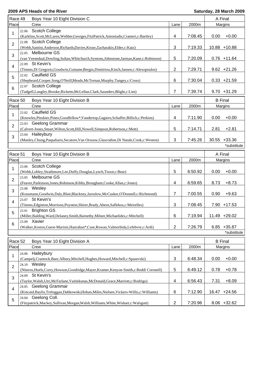| Race 49        | Boys Year 10 Eight Division C                                                                                               |                 |         | A Final         |                |
|----------------|-----------------------------------------------------------------------------------------------------------------------------|-----------------|---------|-----------------|----------------|
| Place          | Crew                                                                                                                        | Lane            | 2000m   | Margins         |                |
| 1              | <b>Scotch College</b><br>22.06<br>(Karklins, Scott, McLaren, Webber, Georges, FitzPatrick, Antoniadis, Crameri, c: Bartley) | 4               | 7:08.45 | 0.00            | $+0.00$        |
|                | 22.08 Scotch College                                                                                                        |                 |         |                 |                |
| 2              | (Webb,Santini,Anderson,Richards,Davies,Kruse,Zacharakis,Elder,c:Katz)                                                       | 3               | 7:19.33 | 10.88 +10.88    |                |
| 3              | Melbourne GS<br>22.05<br>(van Veenedaal, Dowling, Sultan, Whitchurch, Symons, Johnstone, Jarman, Kane, c: Robinson)         | 5               | 7:20.09 |                 | $0.76 + 11.64$ |
| $\overline{4}$ | 22.09 St Kevin's<br>(Timms, Di Gregorio, Goodwin, Guinane, Bergin, Dimitriou, Kinch, Jansen, c: Alexopoulos)                | $\overline{2}$  | 7:29.71 |                 | $9.62 +21.26$  |
| 5              | 22.02 Caulfield GS                                                                                                          |                 |         |                 |                |
|                | (Shepheard,Cooper,Song,O'Neill,Meads,McTernan,Murphy,Tangey,c:Cross)<br>22.07 Scotch College                                | 6               | 7:30.04 |                 | $0.33 +21.59$  |
| 6              | (Tadgell,Langley,Brooke,Ricketts,McLellan,Clark,Saunders,Blight,c:Lim)                                                      | 7               | 7:39.74 |                 | $9.70 + 31.29$ |
| Race 50        | Boys Year 10 Eight Division B                                                                                               |                 |         | <b>B</b> Final  |                |
| Place          | Crew                                                                                                                        | Lane            | 2000m   | Margins         |                |
|                | 23.02 Caulfield GS                                                                                                          |                 |         |                 |                |
| 1              | (Knowles, Pinskier, Pineo, Goodfellow*, Vandertop, Gagiero, Schaffer, Billich, c: Perkins)                                  | 4               | 7:11.90 | 0.00            | $+0.00$        |
| $\overline{2}$ | <b>Geelong Grammar</b><br>23.03                                                                                             |                 |         |                 |                |
|                | (Calvert-Jones, Smart, Wilton, Scott, Hill, Nowell, Simpson, Robertson, c: Mott)                                            | 5               | 7:14.71 | 2.81            | $+2.81$        |
| 3              | 23.04 Haileybury<br>(Manley,Chung,Paspaliaris,Secatore,Van Orsouw,Glascodine,Di Natale,Cook,c:Weston)                       | 3               | 7:45.26 | $30.55 + 33.36$ |                |
|                |                                                                                                                             |                 |         |                 | *substitute    |
|                |                                                                                                                             |                 |         |                 |                |
| Race 51        | Boys Year 10 Eight Division B                                                                                               |                 |         | A Final         |                |
| Place          | Crew                                                                                                                        | Lane            | 2000m   | Margins         |                |
|                |                                                                                                                             |                 |         |                 |                |
| 1              | Scotch College<br>23.06                                                                                                     |                 |         |                 |                |
|                | (Webb,Lobley,Strathmore,Lee,Duffy,Douglas,Lynch,Tissot,c:Bear)<br>23.05 Melbourne GS                                        | 5               | 6:50.92 | 0.00            | $+0.00$        |
| 2              | (Feaver, Parkinson, Jones, Robinson, Kibby, Brougham, Cooke, Allan, c: Jones)                                               | 4               | 6:59.65 | 8.73            | $+8.73$        |
| 3              | 23.08 Wesley                                                                                                                |                 |         |                 |                |
|                | (Kossmann, Goodwin, Daly, Blair, Blackney, Jaroslow, McCusker, O'Donnell, c: Richmond)<br>St Kevin's<br>23.07               | 7               | 7:00.55 | 0.90            | $+9.63$        |
| $\overline{4}$ | (Timms, Edginton, Morrison, Poynton, Shirer, Brady, Ahern, Saflekos, c: Meirelles)                                          | 3               | 7:08.45 |                 | 7.90 +17.53    |
| 5              | 23.01 Brighton GS                                                                                                           |                 |         |                 |                |
|                | (Miller, Balding, Ward, Delaney, Smith, Barnetby, Milner, Michaelides, c: Mitchell)                                         | $6\phantom{1}6$ | 7:19.94 | 11.49 +29.02    |                |
| 6              | 23.09 Xavier<br>(Walker, Kostos, Guest-Marinis, Hanrahan*, Case, Rowan, Valmorbida, Lefebvre, c: Ardi)                      | $\overline{2}$  | 7:26.79 |                 | $6.85 + 35.87$ |
|                |                                                                                                                             |                 |         |                 | *substitute    |
| Race 52        | Boys Year 10 Eight Division A                                                                                               |                 |         | <b>B</b> Final  |                |
| Place          | Crew                                                                                                                        | Lane            | 2000m   | Margins         |                |
| 1              | 24.06 Haileybury                                                                                                            |                 |         |                 |                |
| $\overline{2}$ | (Campelj,Crantock,Baer,Albury,Mitchell,Hughes,Howard,Mitchell,c:Spasevski)<br>24.10 Wesley                                  | 3               | 6:48.34 | 0.00            | $+0.00$        |
|                | (Niteros, Huels, Corry, Howson, Goodridge, Mayer, Kramer, Kenyon-Smith, c: Reddi Coronell)<br>St Kevin's<br>24.09           | 5               | 6:49.12 | 0.78            | $+0.78$        |
| 3              | (Taylor, Walsh, Utri, McFarlane, Vaitiekunas, McDonald, Grace, Marriott, c: Rodrigo)                                        | 4               | 6:56.43 | 7.31            | $+8.09$        |
| 4              | 24.05 Geelong Grammar                                                                                                       |                 |         |                 |                |
| 5              | (Kincaid, Baylis, Treloggan, Dabkowski, Hoban, Miles, Nielsen, Vickers-Willis, c: Williams)<br>24.04 Geelong Coll.          | $6\phantom{1}6$ | 7:12.90 | 16.47 +24.56    |                |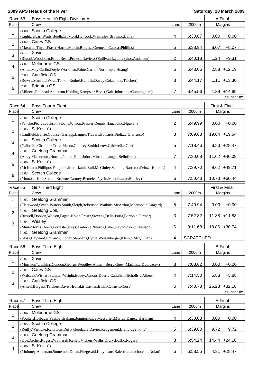| Race 53        |       | Boys Year 10 Eight Division A                                                                                |                          |                  |               |                |  |
|----------------|-------|--------------------------------------------------------------------------------------------------------------|--------------------------|------------------|---------------|----------------|--|
| Place          |       | Crew                                                                                                         | Lane                     | 2000m            |               | Margins        |  |
| 1              | 24.08 | <b>Scotch College</b>                                                                                        |                          |                  |               |                |  |
|                |       | (Light,Jelbart,Watts,Booth,Croxford,Hancock,Walmsley,Brown,c:Bailey)                                         | 4                        | 6:30.87          | 0.00          | $+0.00$        |  |
| $\overline{2}$ |       | 24.02 Carey GS                                                                                               |                          |                  |               |                |  |
|                |       | (Maxwell, Thyer, Fraser, Harris, Martin, Burgess, Cremean, Cator, c: Phillips)                               | 5                        | 6:38.94          | 8.07          | $+8.07$        |  |
| 3              |       | 24.11 Xavier                                                                                                 |                          |                  |               |                |  |
|                |       | (Rigoni, Woodburn, Elliot, Resic, Prowse, Davies, O'Sullivan, Izydorczyk, c: Anderson)<br>24.07 Melbourne GS | $\overline{2}$           | 6:40.18          | 1.24          | $+9.31$        |  |
| 4              |       | (Allan, May, Carlin, Doyle, Workman, Paine, Carlon, Northrop, c: Hoang)                                      | 6                        | 6:43.06          |               | $2.88 + 12.19$ |  |
|                |       | 24.03 Caulfield GS                                                                                           |                          |                  |               |                |  |
| 5              |       | (Rowse,Stanford,Wren,Tonkin,Rothel,Kellock,Davey,Colacino,c:Teichert)                                        | 3                        | 6:44.17          |               | $1.11 + 13.30$ |  |
|                | 24.01 | <b>Brighton GS</b>                                                                                           |                          |                  |               |                |  |
| 6              |       | (Milner*,Redhead,Anderson,Holding,Kempster,Bisset,Gale,Johnson,c:Cunningham)                                 | $\overline{7}$           | 6:45.56          |               | $1.39 + 14.69$ |  |
|                |       |                                                                                                              |                          |                  | *substitute   |                |  |
|                |       |                                                                                                              |                          |                  |               |                |  |
| Race 54        |       | Boys Fourth Eight                                                                                            |                          |                  | First & Final |                |  |
| Place          |       | Crew                                                                                                         | Lane                     | 2000m            |               | Margins        |  |
| 1              | 25.02 | Scotch College                                                                                               |                          |                  |               |                |  |
|                |       | (Fancke, Pearce, Jackson, Sloane, Wilson, Prasser, Dennis, Hancock, c: Nguyen)                               | 2                        | 6:49.99          | 0.00          | $+0.00$        |  |
| 2              |       | 25.05 St Kevin's                                                                                             |                          |                  |               |                |  |
|                |       | (Caulfield, Barrie, Counsel, Garlepp, Langes, Travers, Edwards, Stoltz, c: Giarrusso)                        | 3                        | 7:09.63          |               | 19.64 +19.64   |  |
| 3              |       | 25.04 Scotch College<br>(Galbraith, Chandler, Cross, Mason, Godfrey, Smith, Leow, Caldwell, c: Gill)         | 5                        | 7:18.46          |               | $8.83 + 28.47$ |  |
|                | 25.01 | Geelong Grammar                                                                                              |                          |                  |               |                |  |
| 4              |       | (Airey, Matsumoto, Norton, Pollard, Reid, Johns, Mitchell, Long, c: Bellofiore)                              | 7                        | 7:30.08          |               | 11.62 +40.09   |  |
|                |       | 25.06 St Kevin's                                                                                             |                          |                  |               |                |  |
| 5              |       | (McKimm, Phillipos, Fabijanic, Maruskanic, Bull, McGinley, Wilding, Barrett, c: Peloza-Huertas)              | $\overline{\mathcal{A}}$ | 7:39.70          |               | $9.62 + 49.71$ |  |
|                |       | 25.03 Scotch College                                                                                         |                          |                  |               |                |  |
| 6              |       | (Moot, Christie, Sartain, Browne, Cartney, Bemelen, Nyein, Manolitsas, c: Bartley)                           | 6                        | 7:50.43          |               | 10.73 +60.44   |  |
|                |       |                                                                                                              |                          |                  |               |                |  |
| Race 55        |       | Girls Third Eight                                                                                            |                          |                  | First & Final |                |  |
| Place          |       | Crew                                                                                                         | Lane                     | 2000m            |               | Margins        |  |
| 1              | 34.03 | Geelong Grammar                                                                                              |                          |                  |               |                |  |
|                |       | (Fleetwood,Smith-Waters,Smith,Sleigh,Robertson,Watkins,McArthur,Morrison,c:Lingard)                          | 5                        | 7:40.94          | 0.00          | $+0.00$        |  |
| 2              |       | 34.01 Geelong Coll.                                                                                          |                          |                  |               |                |  |
|                |       |                                                                                                              |                          | 7:52.82          |               | 11.88 +11.88   |  |
|                |       | (Russell, Dobson, Watson, Fagan-Nolan, Fraser, Stevens, Della-Porta, Barton, c: Farmer)                      | 3                        |                  |               |                |  |
| 3              |       | 34.04 Wesley                                                                                                 |                          |                  |               |                |  |
|                |       | (Muir-Morris, Doery, Forrester, Keys, Ambrose, Niteros, Baker, Reynoldson, c: Hewson)                        | 6                        | 8:11.68          |               | 18.86 +30.74   |  |
|                | 34.02 | Geelong Grammar                                                                                              |                          |                  |               |                |  |
|                |       | (Sloss, Hayward, Edwards, Gibney, Stephens, Byrne, Weisenberger, Klein, c: McQuillan)                        | $\overline{\mathbf{4}}$  | <b>SCRATCHED</b> |               |                |  |
| Race 56        |       | <b>Boys Third Eight</b>                                                                                      |                          |                  |               | <b>B</b> Final |  |
| Place          |       | Crew                                                                                                         | Lane                     | 2000m            |               | Margins        |  |
|                | 26.07 | Xavier                                                                                                       |                          |                  |               |                |  |
| 1              |       | (Morrison*,Jenkins,Condon,George,Woodley,Allman,Berry,Guest-Marinis,c:Dvorczcek)                             | 3                        | 7:08.62          | 0.00          | $+0.00$        |  |
|                |       | 26.01 Carey GS                                                                                               |                          |                  |               |                |  |
| 2              |       | (Walczak, Wishart, Sumner-Wright, Eddey, Ansons, Doerre, Candlish, Nicholls, c: Albert)                      | 4                        | 7:14.50          | 5.88          | $+5.88$        |  |
|                |       | 26.02 Caulfield GS                                                                                           |                          |                  |               |                |  |
| 3              |       | (Ansell, Burgess, Teichert, Davis, Hronakis, Castles, Irwin, Cairns, c: Cross)                               | 5                        | 7:40.78          | 26.28         | $+32.16$       |  |
|                |       |                                                                                                              |                          |                  |               | *substitute    |  |
|                |       |                                                                                                              |                          |                  |               |                |  |
| Race 57        |       | <b>Boys Third Eight</b>                                                                                      |                          |                  |               | A Final        |  |
| Place          |       | Crew                                                                                                         | Lane                     | 2000m            |               | Margins        |  |
| 1              | 26.04 | Melbourne GS                                                                                                 |                          |                  |               |                |  |
|                |       | (Poulter, Hofbauer, Pascoe, Graham, Bongiorno, Le Messurier, Murray, Dane, c: Hardham)                       | 4                        | 6:30.08          | 0.00          | $+0.00$        |  |
| 2              | 26.05 | <b>Scotch College</b>                                                                                        |                          |                  |               |                |  |
|                |       | (Reilly, Wiencke, Kaliviotis, Duffy, Goodacre, Davies, Redgement, Brand, c: Jenkins)                         | 5                        | 6:39.80          | 9.72          | $+9.72$        |  |
| 3              |       | 26.03 Geelong Grammar<br>(Dye,Archer,Rogers,Wetherall,Kellett,Vickers-Willis,Drury,Duff,c:Rogers)            | 3                        | 6:54.24          |               | 14.44 +24.16   |  |
| 4              |       | 26.06 St Kevin's                                                                                             |                          |                  |               |                |  |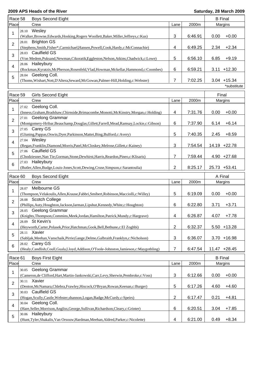| Race 58                 | <b>Boys Second Eight</b>                                                                                                                                                                   |        | <b>B</b> Final     |                |                               |  |
|-------------------------|--------------------------------------------------------------------------------------------------------------------------------------------------------------------------------------------|--------|--------------------|----------------|-------------------------------|--|
| Place                   | Crew                                                                                                                                                                                       | Lane   | 2000m              | Margins        |                               |  |
| 1                       | Wesley<br>28.10<br>(Walker, Browne, Edwards, Hosking, Rogers Woollett, Baker, Miller, Jeffreys, c: Kus)                                                                                    | 3      | 6:46.91            | 0.00           | $+0.00$                       |  |
| $\overline{2}$          | <b>Brighton GS</b><br>28.01<br>(Stephens, Smith, Fisher*, Carmichael, Hansen, Powell, Cook, Hardy, c: McConnachie)                                                                         | 4      | 6:49.25            | 2.34           | $+2.34$                       |  |
| 3                       | 28.03 Caulfield GS<br>(Von Medem, Puksand, Newman, Cikoratik, Eggleston, Nelson, Atkins, Chadwick, c: Lowe)                                                                                | 5      | 6:56.10            | 6.85           | $+9.19$                       |  |
| 4                       | 28.06 Haileybury                                                                                                                                                                           |        |                    |                |                               |  |
| 5                       | (Rockman, Kyratzis, McPherson, Rosenfeld, Vlad, Howman, Mckellar, Hammond, c: Coombes)<br>28.04 Geelong Coll.                                                                              | 6      | 6:59.21            |                | $3.11 + 12.30$                |  |
|                         | (Thoms, Wishart, Nott, D'Altera, Seward, McGowan, Palmer-Hill, Holding, c: Webster)                                                                                                        | 7      | 7:02.25            |                | $3.04 + 15.34$<br>*substitute |  |
|                         |                                                                                                                                                                                            |        |                    |                |                               |  |
| Race 59                 | <b>Girls Second Eight</b>                                                                                                                                                                  |        |                    |                | Final                         |  |
| Place                   | Crew                                                                                                                                                                                       | Lane   | 2000m              |                | Margins                       |  |
| 1                       | Geelong Coll.<br>27.02<br>(Inness, Graham, Bradshaw, Chirnside, Brimacombe, Monotti, McKinstry, Morgan, c: Holding)                                                                        | 4      | 7:31.76            | 0.00           | $+0.00$                       |  |
| $\overline{2}$          | <b>Geelong Grammar</b><br>27.01<br>(Montgomery-Hribar, Beauchamp, Douglas, Gillett, Farrell, Mead, Ramsay, Lockie, c: Gibson)                                                              | 6      | 7:37.90            | 6.14           | $+6.14$                       |  |
| 3                       | 27.05 Carey GS<br>(Gluning, Pappas, Oswin, Dyer, Parkinson, Mattei, Bing, Bulford, c: Avery)                                                                                               | 5      | 7:40.35            | 2.45           | $+8.59$                       |  |
| 4                       | 27.04 Wesley<br>(Regan, Franklin, Diamond, Morris, Patel, McCloskey, Melrose, Gillett, c: Kainey)                                                                                          | 3      | 7:54.54            |                | 14.19 +22.78                  |  |
| 5                       | 27.06 Caulfield GS<br>(Chodziesner, Nan Tie, Gorman, Stone, Dewhirst, Harris, Reardon, Pineo, c: Klisaris)                                                                                 | 7      | 7:59.44            |                | $4.90 +27.68$                 |  |
| 6                       | Haileybury<br>27.03                                                                                                                                                                        |        |                    |                |                               |  |
|                         | (Butler, Allen, Budge, Louis-Jones, Scott, Dewing, Cruse, Simpson, c: Sarantoulia)                                                                                                         | 2      | 8:25.17            | 25.73 +53.41   |                               |  |
| Race 60                 | <b>Boys Second Eight</b>                                                                                                                                                                   |        |                    | A Final        |                               |  |
| Place                   | Crew                                                                                                                                                                                       | Lane   | 2000m              |                | Margins                       |  |
| 1                       | Melbourne GS<br>28.07<br>(Thompson, Velakoulis, Allen, Krause, Fabbri, Smibert, Robinson, Macciolli, c: Willey)                                                                            | 5      | 6:19.09            | 0.00           | $+0.00$                       |  |
| $\overline{2}$          | 28.08 Scotch College<br>(Phillips, Auty, Houghton, Jackson, Jarman, Lipshut, Kennedy, White, c: Houghton)                                                                                  | 6      | 6:22.80            | 3.71           | $+3.71$                       |  |
| 3                       | 28.05 Geelong Grammar<br>(Knights, Thompson, Commins, Meek, Jordan, Hamilton, Patrick, Mundy, c: Hargrave)                                                                                 | 4      | 6:26.87            | 4.07           | $+7.78$                       |  |
| $\overline{\mathbf{4}}$ | 28.09 St Kevin's                                                                                                                                                                           |        |                    |                |                               |  |
| 5                       | (Heyworth, Carter, Polasek, Prior, Hatchman, Gook, Bell, Bethune, c: El Zoghbi)<br>Xavier<br>28.11                                                                                         | 2      | 6:32.37            |                | $5.50 + 13.28$                |  |
|                         | (Sabljak, Meehan, Vanschaik, Pirrie, Gange, Delmo, Galbraith, Franklyn, c: Nicholson)<br>28.02 Carey GS                                                                                    | 3      | 6:36.07            |                | $3.70 + 16.98$                |  |
| 6                       | (Healy,Candlish,Coull,Guala,Lloyd,Addison,O'Toole-Johnston,Jamieson,c:Maygothling)                                                                                                         | 7      | 6:47.54            |                | 11.47 +28.45                  |  |
| Race 61                 | <b>Boys First Eight</b>                                                                                                                                                                    |        |                    | <b>B</b> Final |                               |  |
| Place                   | Crew                                                                                                                                                                                       | Lane   | 2000m              |                | Margins                       |  |
| 1                       | Geelong Grammar<br>30.05                                                                                                                                                                   |        |                    |                |                               |  |
| $\overline{2}$          | (Cameron, de Clifford, Hart, Martin-Jankowski, Carr, Levy, Sherwin, Pembroke, c: Voss)<br>30.11 Xavier<br>(Denton, McNamara, Chlebra, Frawley, Hiscock, O'Bryan, Rowan, Keenan, c: Burger) | 3<br>5 | 6:12.66<br>6:17.26 | 0.00<br>4.60   | $+0.00$<br>$+4.60$            |  |
| 3                       | <b>Caulfield GS</b><br>30.03                                                                                                                                                               |        |                    |                |                               |  |
| 4                       | (Hogan, Scully, Castle, Webster, shannon, Logan, Badge, McCurdy, c: Speirs)<br>30.04 Geelong Coll.                                                                                         | 2      | 6:17.47            | 0.21           | $+4.81$                       |  |
| 5                       | (Hare, Seller, Morrison, Angliss, George, Sullivan, Richardson, Cleary, c: Grinter)<br>30.06 Haileybury<br>(Hunt,Tyler,Shakalis,Van Orsouw,Hardman,Meehan,Aldred,Parker,c:Nicolette)       | 6<br>4 | 6:20.51<br>6:21.00 | 3.04<br>0.49   | $+7.85$<br>$+8.34$            |  |